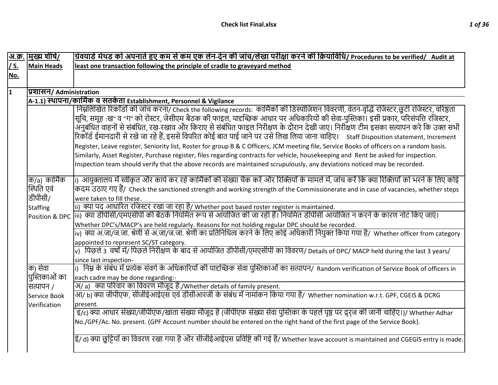| 71 |  |  |
|----|--|--|
|----|--|--|

|                | <u>अ.क्र.  मुख्य शीर्ष/</u> | ग्रेवयार्ड मेथड को अपनाते हुए कम से कम एक लेन-देन की जांच/लेखा परीक्षा करने की क्रियाविधि/ Procedures to be verified/ Audit at                                                                                                                                                                                                                                                                                                                                                                                                                               |
|----------------|-----------------------------|--------------------------------------------------------------------------------------------------------------------------------------------------------------------------------------------------------------------------------------------------------------------------------------------------------------------------------------------------------------------------------------------------------------------------------------------------------------------------------------------------------------------------------------------------------------|
| <u>/ S.</u>    | <b>Main Heads</b>           | least one transaction following the principle of cradle to graveyard method                                                                                                                                                                                                                                                                                                                                                                                                                                                                                  |
| No.            |                             |                                                                                                                                                                                                                                                                                                                                                                                                                                                                                                                                                              |
|                |                             |                                                                                                                                                                                                                                                                                                                                                                                                                                                                                                                                                              |
| $\overline{1}$ | प्रशासन/ Administration     |                                                                                                                                                                                                                                                                                                                                                                                                                                                                                                                                                              |
|                |                             | A-1.1) स्थापना/कार्मिक व सतर्कता Establishment, Personnel & Vigilance                                                                                                                                                                                                                                                                                                                                                                                                                                                                                        |
|                |                             | निम्नलिखित रिकॉर्डो की जांच करना/ Check the following records: कार्मिकों की डिस्पोजिशन विवरणी, वेतन-वृद्धि रजिस्टर,छुटी रजिस्टर, वरिष्ठता<br>सूचि, समूह :ख" व "ग" को रोस्टर, जेसीएम बैठक की फाइल, यादच्छिक आधार पर अधिकारियों की सेवा-पुस्तिका। इसी प्रकार, परिसंपत्ति रजिस्टर,<br>अनुबंधित वाहनों से संबंधित, रख-रखाव और किराए से संबंधित फाइल निरीक्षण के दौरान देखी जाए। निरीक्षण टीम इसका सत्यापन करे कि उक्त सभी<br>रिकॉर्ड ईमानदारी से रखे जा रहे हैं, इससे विपरित कोई बात पाई जाने पर उसे लिख लिया जाना चाहिए। Staff Disposition statement, Increment |
|                |                             | Register, Leave register, Seniority list, Roster for group B & C Officers, JCM meeting file, Service Books of officers on a random basis.                                                                                                                                                                                                                                                                                                                                                                                                                    |
|                |                             | Similarly, Asset Register, Purchase register, files regarding contracts for vehicle, housekeeping and Rent be asked for inspection.                                                                                                                                                                                                                                                                                                                                                                                                                          |
|                |                             | Inspection team should verify that the above records are maintained scrupulously, any deviations noticed may be recorded.                                                                                                                                                                                                                                                                                                                                                                                                                                    |
|                | क⁄a) कार्मिक                | i) आयुक्तालय में स्वीकृत और कार्य कर रहे कार्मिकों की संख्या चैक करें और रिक्तियों के मामले में, जांच करें कि क्या रिक्तियों को भरने के लिए कोई                                                                                                                                                                                                                                                                                                                                                                                                              |
|                | स्थिति एवं                  | कदम उठाए गए हैं/ Check the sanctioned strength and working strength of the Commissionerate and in case of vacancies, whether steps                                                                                                                                                                                                                                                                                                                                                                                                                           |
|                | डीपीसी/                     | were taken to fill these.                                                                                                                                                                                                                                                                                                                                                                                                                                                                                                                                    |
|                | <b>Staffing</b>             | ii) क्य <u>ा पद आधारित रजिस्टर रखा जा रहा है</u> / Whether post based roster register is maintained.                                                                                                                                                                                                                                                                                                                                                                                                                                                         |
|                | Position & DPC              | iii) क्या डीपीसी/एमएसीपी की बैठकें नियमित रूप से आयोजित की जा रही हैं। नियमित डीपीसी आयोजित न करने के कारण नोट किए जाएं।                                                                                                                                                                                                                                                                                                                                                                                                                                     |
|                |                             | Whether DPC's/MACP's are held regularly. Reasons for not holding regular DPC should be recorded.                                                                                                                                                                                                                                                                                                                                                                                                                                                             |
|                |                             | iv) क्या अ.जा/ज.जा. श्रेणी से अ.जा/ज.जा. श्रेणी का प्रतिनिधित्व करने के लिएँ कोई अधिकारी नियुक्त किया गया है/ Whether officer from category                                                                                                                                                                                                                                                                                                                                                                                                                  |
|                |                             | appointed to represent SC/ST category.                                                                                                                                                                                                                                                                                                                                                                                                                                                                                                                       |
|                |                             | v) पिछले 3) वर्षों में/ पिछले निरीक्षण के बाद से आयोजित डीपीसी/एमएसीपी का विवरण/ Details of DPC/ MACP held during the last 3 years/                                                                                                                                                                                                                                                                                                                                                                                                                          |
|                |                             | since last inspection-                                                                                                                                                                                                                                                                                                                                                                                                                                                                                                                                       |
|                | क) सेवा                     | i)  निम्न के संबंध में प्रत्येक संवर्ग के अधिकारियों की यादृच्छिक सेवा पुस्तिकाओं का सत्यापन/ Random verification of Service Book of officers in                                                                                                                                                                                                                                                                                                                                                                                                             |
|                | पुस्तिकाओं का               | each cadre may be done regarding:-                                                                                                                                                                                                                                                                                                                                                                                                                                                                                                                           |
|                | सत्यापन /                   | अ/ a) क्या परिवार का विवरण मौजूद है./Whether details of family present.<br>आ/b) क्या जीपीएफ, सीजीईआईएस एवं डीसीआरजी के संबंध में नामांकन किया गया है/ Whether nomination w.r.t. GPF, CGEIS & DCRG                                                                                                                                                                                                                                                                                                                                                            |
|                | Service Book                | present.                                                                                                                                                                                                                                                                                                                                                                                                                                                                                                                                                     |
|                | Verification                | इ/c) क्या आधार संख्या/जीपीएफ/खाता संख्या मौजूद है (जीपीएफ संख्या सेवा पुस्तिका के पहले पृष्ठ पर द्ररूज की जानी चाहिए।)/ Whether Adhar                                                                                                                                                                                                                                                                                                                                                                                                                        |
|                |                             | No./GPF/Ac. No. present. (GPF Account number should be entered on the right hand of the first page of the Service Book).                                                                                                                                                                                                                                                                                                                                                                                                                                     |
|                |                             |                                                                                                                                                                                                                                                                                                                                                                                                                                                                                                                                                              |
|                |                             | ई/ d) क्या छुट्टियों का विवरण रखा गया है और सीजीईआईएस प्रविष्टि की गई है/ Whether leave account is maintained and CGEGIS entry is made.                                                                                                                                                                                                                                                                                                                                                                                                                      |
|                |                             |                                                                                                                                                                                                                                                                                                                                                                                                                                                                                                                                                              |
|                |                             |                                                                                                                                                                                                                                                                                                                                                                                                                                                                                                                                                              |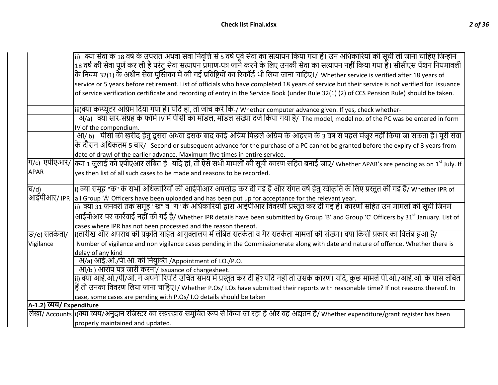| 7 |  |
|---|--|
|---|--|

|                          | ii) क्या सेवा के 18 वर्ष के उपरांत अथवा सेवा निवृत्ति से 5 वर्ष पूर्व सेवा का सत्यापन किया गया है। उन अधिकारियों की सूची ली जानी चाहिए जिन्होंने   |
|--------------------------|----------------------------------------------------------------------------------------------------------------------------------------------------|
|                          | 18 वर्ष की सेवा पूर्ण कर ली है परंतु सेवा सत्यापन प्रमाण-पत्र जाने करने के लिए उनकी सेवा का सत्यापन नहीं किया गया है। सीसीएस पेंशन नियमावली        |
|                          | कि नियम 32(1) के अधीन सेवा पुस्तिका में की गई प्रविष्टियों का रिकॉर्ड भी लिया जाना चाहिए।/ Whether service is verified after 18 years of           |
|                          | service or 5 years before retirement. List of officials who have completed 18 years of service but their service is not verified for issuance      |
|                          | of service verification certificate and recording of entry in the Service Book (under Rule 32(1) (2) of CCS Pension Rule) should be taken.         |
|                          |                                                                                                                                                    |
|                          | iii)क्या कम्प्यूटर अग्रिम दिया गया है। यदि हां, तो जांच करें कि-/ Whether computer advance given. If yes, check whether-                           |
|                          | अ/a) क्या सार-संग्रह के फॉर्म IV में पीसी का मॉडल, मॉडल संख्या दर्ज किया गया है/ The model, model no. of the PC was be entered in form             |
|                          | IV of the compendium.                                                                                                                              |
|                          | आ/ b) पीसी की खरीद हेतु दूसरा अथवा इसके बाद कोई अग्रिम पिछले अग्रिम के आहरण के 3 वर्ष से पहले मंजूर नहीं किया जा सकता है। पूरी सेवा                |
|                          | के दौरान अधिकतम 5 बार/ Second or subsequent advance for the purchase of a PC cannot be granted before the expiry of 3 years from                   |
|                          | date of drawl of the earlier advance. Maximum five times in entire service.                                                                        |
|                          | ग/c) एपीएआर/ क्या 1 जुलाई को एपीएआर लंबित है। यदि हां, तो ऐसे सभी मामलों की सूची कारण सहित बनाई जाए/ Whether APAR's are pending as on 1st July. If |
| <b>APAR</b>              | yes then list of all such cases to be made and reasons to be recorded.                                                                             |
|                          |                                                                                                                                                    |
| ঘ/d)                     | i) क्या समूह "क" के सभी अधिकारियों की आईपीआर अपलोड कर दी गई है और संगत वर्ष हेतु स्वीकृति के लिए प्रस्तुत की गई है/ Whether IPR of                 |
| आईपीआर/ IPR              | all Group 'A' Officers have been uploaded and has been put up for acceptance for the relevant year.                                                |
|                          | ii) क्या 31 जनवरी तक समूह "ख" व "ग" के अधिकारियों द्वारा आईपीआर विवरणी प्रस्तुत कर दी गई है। कारणों सहित उन मामलों की सूची जिनमें                  |
|                          | आईपीआर पर कार्रवाई नहीं की गई है/ Whether IPR details have been submitted by Group 'B' and Group 'C' Officers by 31 <sup>st</sup> January. List of |
|                          | cases where IPR has not been processed and the reason thereof.                                                                                     |
| ङ/e) सतर्कता/            | ji)तारीख और अपराध की प्रकृति सहित आयुक्तालय में लंबित सतर्कता व गैर-सतर्कता मामलों की संख्या। क्या किसी प्रकार का विलंब हुआ है/                    |
| Vigilance                | Number of vigilance and non vigilance cases pending in the Commissionerate along with date and nature of offence. Whether there is                 |
|                          | delay of any kind                                                                                                                                  |
|                          | अ/a) आई.ओ./पी.ओ. की नियुक्ति /Appointment of I.O./P.O.                                                                                             |
|                          | आ/b ) आरोप पत्र जारी करना/ Issuance of chargesheet.                                                                                                |
|                          | ii) क्या आई.ओ./पी/ओ. ने अपनी रिपोर्ट उचित समय में प्रस्तुत कर दी है? यदि नहीं तो उसके कारण। यदि, कुछ मामले पी.ओ./आई.ओ. के पास लंबित                |
|                          | हैं तो उनका विवरण लिया जाना चाहिए।/ Whether P.Os/ I.Os have submitted their reports with reasonable time? If not reasons thereof. In               |
|                          | case, some cases are pending with P.Os/ I.O details should be taken                                                                                |
| A-1.2) व्यय/ Expenditure |                                                                                                                                                    |
|                          | लेखा/ Accounts  i)क्या व्यय/अनुदान रजिस्टर का रखरखाव समुचित रूप से किया जा रहा है और वह अद्यतन है/ Whether expenditure/grant register has been     |
|                          | properly maintained and updated.                                                                                                                   |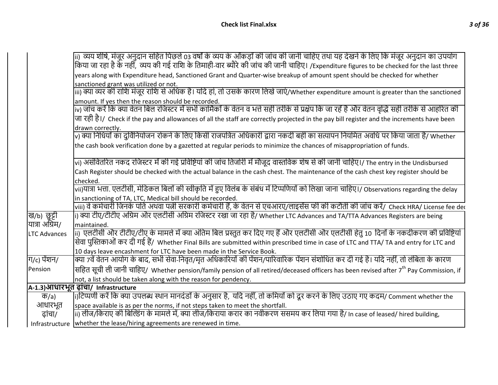|                     | jii) व्यय शीर्ष, मंजूर अनुदान सहित पिछले 03 वर्षों के व्यय के ऑकड़ों की जांच की जानी चाहिए तथा यह देखने के लिए कि मंजूर अनुदान का उपयोग                                                                  |
|---------------------|----------------------------------------------------------------------------------------------------------------------------------------------------------------------------------------------------------|
|                     | किया जा रहा है के नहीं, व्यय की गई राशि के तिमाही-वार ब्यौरे की जांच की जानी चाहिए। /Expenditure figures to be checked for the last three                                                                |
|                     | years along with Expenditure head, Sanctioned Grant and Quarter-wise breakup of amount spent should be checked for whether                                                                               |
|                     | sanctioned grant was utilized or not.                                                                                                                                                                    |
|                     | iii) क्या व्यर की राशि मंजूर राशि से अधिक है। यदि हां, तो उसके कारण लिखे जाएं/Whether expenditure amount is greater than the sanctioned                                                                  |
|                     | amount. If yes then the reason should be recorded.                                                                                                                                                       |
|                     | iv) जांच करें कि क्या वेतन बिल रजिस्टर में सभी कार्मिकों के वेतन व भत्ते सही तरीके से प्रक्षेप कि जा रहें है और वेतन वृद्धि सही तरीके से आहरित की                                                        |
|                     | जा रही है।/ Check if the pay and allowances of all the staff are correctly projected in the pay bill register and the increments have been                                                               |
|                     | drawn correctly.                                                                                                                                                                                         |
|                     | v) क्या निधियों का दुर्विनियोजन रोकने के लिए किसी राजपत्रित अधिकारी द्वारा नकदी बही का सत्यापन नियमित अवधि पर किया जाता है/ Whether                                                                      |
|                     | the cash book verification done by a gazetted at regular periods to minimize the chances of misappropriation of funds.                                                                                   |
|                     | vi) असंवितरित नकद रजिस्टर में की गई प्रविष्टियां की जांच तिजोरी में मौजूद वास्तविक शेष से की जानी चाहिए।/ The entry in the Undisbursed                                                                   |
|                     |                                                                                                                                                                                                          |
|                     | Cash Register should be checked with the actual balance in the cash chest. The maintenance of the cash chest key register should be                                                                      |
|                     | checked.<br>vii)यात्रा भत्ता. एलटीसी, मेडिकल बिलों की स्वीकृति में हुए विलंब के संबंध में टिप्पणियों को लिखा जाना चाहिए।/ Observations regarding the delay                                               |
|                     |                                                                                                                                                                                                          |
|                     | in sanctioning of TA, LTC, Medical bill should be recorded.<br>viii) वे कर्मचारी जिनके पति अथवा पत्नी सरकारी कर्मचारी हैं, के वेतन से एचआरए/लाइसेंस फी की कटौती की जांच करें/ Check HRA/ License fee dec |
|                     | ii) क्या टीए/टीटीए अग्रिम और एलटीसी अग्रिम रजिस्टर रखा जा रहा है/ Whether LTC Advances and TA/TTA Advances Registers are being                                                                           |
| ख/b) छुट्टी         |                                                                                                                                                                                                          |
| यात्रा अग्रिम/      | maintained.                                                                                                                                                                                              |
| <b>LTC Advances</b> | ii)  एलटीसी और टीटीए/टीए के मामले में क्या अंतिम बिल प्रस्तुत कर दिए गए हैं और एलटीसी और एलटीसी हेतु 10  दिनों के नकदीकरण की प्रविष्टियां                                                                |
|                     | सिवा पुस्तिकाओं कर दी गई हैं/ Whether Final Bills are submitted within prescribed time in case of LTC and TTA/ TA and entry for LTC and                                                                  |
|                     | 10 days leave encashment for LTC have been made in the Service Book.                                                                                                                                     |
| ग/c) पेंशन/         | क्या 7वें वेतन आयोग के बाद, सभी सेवा-निवृत/मृत अधिकारियों की पेंशन/पारिवारिक पेंशन संशोधित कर दी गई है। यदि नहीं, तो लंबिता के कारण                                                                      |
| Pension             | सहित सूची ली जानी चाहिए/ Whether pension/family pension of all retired/deceased officers has been revised after 7 <sup>th</sup> Pay Commission, if                                                       |
|                     | not, a list should be taken along with the reason for pendency.                                                                                                                                          |
|                     | A-1.3) आधारभूत ढ़ांचा/ Infrastructure                                                                                                                                                                    |
| क/a)                | [i)टिप्पणी करें कि क्या उपलब्ध स्थान मानदंडों के अनुसार है, यदि नहीं, तो कमियों को दूर करने के लिए उठाए गए कदम/ Comment whether the                                                                      |
| आधारभूत             | space available is as per the norms, if not steps taken to meet the shortfall.                                                                                                                           |
| ढांचा/              | ii) लीज/किराए की बिल्डिंग के मामले में, क्या लीज/किराया करार का नवीकरण ससमय कर लिया गया है/ In case of leased/ hired building,                                                                           |
|                     | Infrastructure   whether the lease/hiring agreements are renewed in time.                                                                                                                                |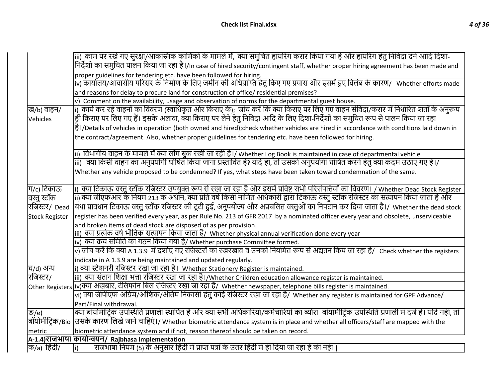|                       | iii) काम पर रखे गए सुरक्षा/आकस्मिक कार्मिकों के मामले में, क्या समुचित हायरिंग करार किया गया है और हायरिंग हेतु निर्विदा देने आदि दिशा-        |
|-----------------------|------------------------------------------------------------------------------------------------------------------------------------------------|
|                       | निर्देशों का समुचित पालन किया जा रहा है।/In case of hired security/contingent staff, whether proper hiring agreement has been made and         |
|                       | proper guidelines for tendering etc. have been followed for hiring.                                                                            |
|                       | iv) कार्यालय/आवासीय परिसर के निर्माण के लिए जमीन की अधिप्राप्ति हेतु किए गए प्रयास और इसमें हुए विलंब के कारण/ Whether efforts made            |
|                       | and reasons for delay to procure land for construction of office/ residential premises?                                                        |
|                       | v) Comment on the availability, usage and observation of norms for the departmental guest house.                                               |
| ख/b) वाहन/            | i) कार्य कर रहे वाहनों का विवरण (स्वाधिकृत और किराए के); जांच करें कि क्या किराए पर लिए गए वाहन संविदा/करार में निर्धारित शर्तों के अनुरूप     |
| Vehicles              | ही किराए पर लिए गए हैं। इसके अलावा, क्या किराए पर लेने हेतु निविदा आदि के लिए दिशा-निर्देशों का समुचित रूप से पालन किया जा रहा                 |
|                       | है।/Details of vehicles in operation (both owned and hired);check whether vehicles are hired in accordance with conditions laid down in        |
|                       | the contract/agreement. Also, whether proper guidelines for tendering etc. have been followed for hiring.                                      |
|                       |                                                                                                                                                |
|                       | ii) विभागीय वाहन के मामले में क्या लॉग बुक रखी जा रही है।/ Whether Log Book is maintained in case of departmental vehicle                      |
|                       | iii)  क्या किसी वाहन का अनुपयोगी घोषित किया जाना प्रस्तावित है? यदि हां, तो उसको अनुपयोगी घोषित करने हेतु क्या कदम उठाए गए हैं।/               |
|                       | Whether any vehicle proposed to be condemned? If yes, what steps have been taken toward condemnation of the same.                              |
|                       |                                                                                                                                                |
| ग/c) टिकाऊ            | i) क्या टिकाऊ वस्तु स्टॉक रजिस्टर उपयुक्त रूप से रखा जा रहा है और इसमें प्रविष्ट सभी परिसंपत्तियों का विवरण। / Whether Dead Stock Register     |
| वस्तु स्टॉक           | ii) क्या जीएफआर के नियम 213 के अर्धीन, क्या प्रति वर्ष किसी नामित अधिकारी द्वारा टिकाऊ वस्तु स्टॉक रजिस्टर का सत्यापन किया जाता है और          |
| रजिस्टर/ Dead         | यथा प्रावधान टिकाऊ वस्तु स्टॉक रजिस्टर की टूटी हुई, अनुपयोज्य और अप्रचलित वस्तुओं का निपटान कर दिया जाता है।/ Whether the dead stock           |
| <b>Stock Register</b> | register has been verified every year, as per Rule No. 213 of GFR 2017 by a nominated officer every year and obsolete, unserviceable           |
|                       | and broken items of dead stock are disposed of as per provision.                                                                               |
|                       | iii) क्या प्रत्येक वर्ष भौतिक सत्यापन किया जाता है/ Whether physical annual verification done every year                                       |
|                       | iv) क्या क्रय समिति का गठन किया गया है/ Whether purchase Committee formed.                                                                     |
|                       | v) जांच करें कि क्या A 1.3.9 में दर्शाए गए रजिस्टरों का रखरखाव व उनको नियमित रूप से अद्यतन किय जा रहा है/ Check whether the registers          |
|                       | indicate in A 1.3.9 are being maintained and updated regularly.                                                                                |
| घ/d) अन्य             | i) क्या स्टेशनरी रजिस्टर रखा जा रहा है।  Whether Stationery Register is maintained.                                                            |
| रजिस्टर/              | iii) क्या संतान शिक्षा भत्ता रजिस्टर रखा जा रहा है।/Whether Children education allowance register is maintained.                               |
| Other Registers       | iv)क्या अखबार, टेलिफोन बिल रजिस्टर रखा जा रहा है/ Whether newspaper, telephone bills register is maintained.                                   |
|                       | vi) क्या जीपीएफ अग्रिम/आंशिक/अंतिम निकासी हेतु कोई रजिस्टर रखा जा रहा है/ Whether any register is maintained for GPF Advance/                  |
|                       | Part/Final withdrawal.                                                                                                                         |
| ङ⁄e)                  | क्या बॉयोमीटिक उपस्थिति प्रणाली स्थापित है और क्या सभी अधिकारियों/कर्मचारियों का ब्यौरा-बॉयोमीट्रिक उपस्थिति प्रणाली में दर्ज है। यदि नहीं, तो |
| बॉयोमीट्रिक/Bio       | उसके कारण लिखे जाने चाहिएं।/ Whether biometric attendance system is in place and whether all officers/staff are mapped with the                |
| metric                | biometric attendance system and if not, reason thereof should be taken on record.                                                              |
|                       | A-1.4)राजभाषा कार्यान्वयन/ Rajbhasa Implementation                                                                                             |
| क/a) हिंदी/           | राजभाषा नियम (5) के अनुसार हिंदी में प्राप्त पत्रों के उतर हिंदी में ही दिया जा रहा है की नही ।<br>li)                                         |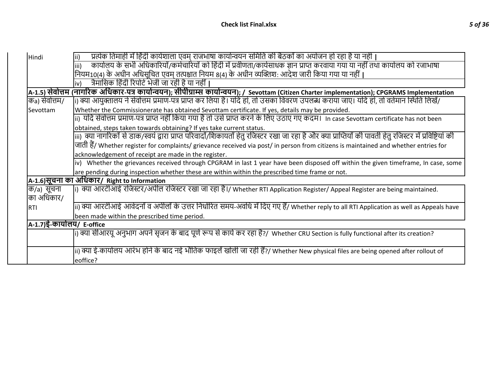| Hindi                      | प्रत्येक तिमाही में हिंदी कार्यशाला एवम् राजभाषा कार्यान्वयन समिति की बैठकों का अयोजन हो रहा है या नही                                                      |
|----------------------------|-------------------------------------------------------------------------------------------------------------------------------------------------------------|
|                            | कार्यालय के सभी अधिकारियों/कर्मचारियों को हिंदी में प्रवीणता/कार्यसाधक ज्ञान प्राप्त करवाया गया या नहीं तथा कार्यालय को रजाभाषा<br>iii)                     |
|                            | नियम10(4) के अधीन अधिसूचित एवम् तत्पश्चात नियम 8(4) के अधीन व्यक्तिश: आदेश जारी किया गया या नहीं                                                            |
|                            | त्रैमासिक हिंदी रिपोर्ट भेजी जा रही है या नहीं                                                                                                              |
|                            | A-1.5) सेवोत्तम (नागरिक अधिकार-पत्र कार्यान्वयन); सीपीग्राम्स कार्यान्वयन); / Sevottam (Citizen Charter implementation); CPGRAMS Implementation             |
| कa) सेवोत्तम/              | li) क्या आयुक्तालय ने सेवोत्तम प्रमाण-पत्र प्राप्त कर लिया है। यदि हां, तो उसका विवरण उपलब्ध कराया जाए। यदि हां, तो वर्तमान स्थिति लिखें/                   |
| Sevottam                   | Whether the Commissionerate has obtained Sevottam certificate. If yes, details may be provided.                                                             |
|                            | ii) यदि सेवोत्तम प्रमाण-पत्र प्राप्त नहीं किया गया है तो उसे प्राप्त करने के लिए उठाए गए कदम। In case Sevottam certificate has not been                     |
|                            | obtained, steps taken towards obtaining? If yes take current status.                                                                                        |
|                            | liii)  क्या नागरिकों से डाक/स्वयं द्वारा प्राप्त परिवादों/शिकायतों हेतु रजिस्टर रखा जा रहा है और क्या प्राप्तियों की पावती हेतु रजिस्टर में प्रविष्टियां की |
|                            | जाती हैं/ Whether register for complaints/ grievance received via post/ in person from citizens is maintained and whether entries for                       |
|                            | acknowledgement of receipt are made in the register.                                                                                                        |
|                            | iv) Whether the grievances received through CPGRAM in last 1 year have been disposed off within the given timeframe, In case, some                          |
|                            | are pending during inspection whether these are within within the prescribed time frame or not.                                                             |
|                            | A-1.6)सूचना का अधिकार/ Right to Information                                                                                                                 |
| कि/a) सूचना                | i) क्या आरटीआई रजिस्टर/अपील रजिस्टर रखा जा रहा है।/ Whether RTI Application Register/ Appeal Register are being maintained.                                 |
| का अधिकार/                 |                                                                                                                                                             |
| RTI                        | ii) क्या आरटीआई आवेदनों व अपीलों के उत्तर निर्धारित समय-अवधि में दिए गए हैं/ Whether reply to all RTI Application as well as Appeals have                   |
|                            | been made within the prescribed time period.                                                                                                                |
| A-1.7)ई-कार्यालय/ E-office |                                                                                                                                                             |
|                            | i) क्या सीआरयू अनुभाग अपने सृजन के बाद पूर्ण रूप से कार्य कर रहा है?/ Whether CRU Section is fully functional after its creation?                           |
|                            |                                                                                                                                                             |
|                            | lii) क्या ई-कार्यालय आरंभ होने के बाद नई भौतिक फाइलें खोली जा रही हैं?/ Whether New physical files are being opened after rollout of                        |
|                            | eoffice?                                                                                                                                                    |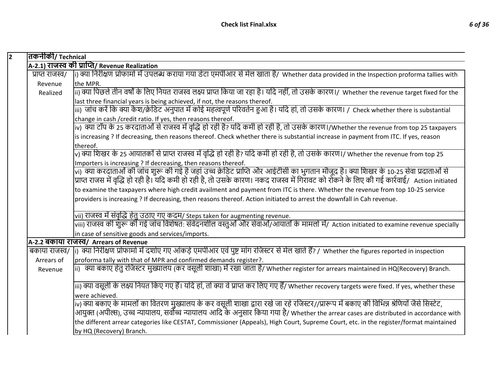| $\overline{2}$  | तकनीकी/Technical                                                                                                                                 |  |  |
|-----------------|--------------------------------------------------------------------------------------------------------------------------------------------------|--|--|
|                 | A-2.1) राजस्व की प्राप्ति/ Revenue Realization                                                                                                   |  |  |
| प्राप्त राजस्व/ | li) क्या निरीक्षण प्रोफामो में उपलब्ध कराया गया डेटा एमपीआर से मेल खाता है/ Whether data provided in the Inspection proforma tallies with        |  |  |
| Revenue         | the MPR.                                                                                                                                         |  |  |
| Realized        | ii) क्या पिछले तीन वर्षों के लिए नियत राजस्व लक्ष्य प्राप्त किया जा रहा है। यदि नहीं, तो उसके कारण।/ Whether the revenue target fixed for the    |  |  |
|                 | last three financial years is being achieved, if not, the reasons thereof.                                                                       |  |  |
|                 | iii) जांच करें कि क्या कैश/क्रेडिट अनुपात में कोई महत्वपूर्ण परिवर्तन हुआ है। यदि हां, तो उसके कारण। / Check whether there is substantial        |  |  |
|                 | change in cash / credit ratio. If yes, then reasons thereof.                                                                                     |  |  |
|                 | iv) क्या टॉप के 25 करदाताओं से राजस्व में वृद्धि हो रही है? यदि कमी हो रही है, तो उसके कारण।/Whether the revenue from top 25 taxpayers           |  |  |
|                 | is increasing? If decreasing, then reasons thereof. Check whether there is substantial increase in payment from ITC. If yes, reason              |  |  |
|                 | thereof.                                                                                                                                         |  |  |
|                 | v) क्या शिखर के 25 आयातकों से प्राप्त राजस्व में वृद्धि हो रही है? यदि कमी हो रही है, तो उसके कारण।/ Whether the revenue from top 25             |  |  |
|                 | Importers is increasing ? If decreasing, then reasons thereof.                                                                                   |  |  |
|                 | vi) क्या करदाताओं की जांच शुरू की गई है जहां उच्च क्रेडिट प्राप्ति और आईटीसी का भुगतान मौजूद है। क्या शिखर के 10-25 सेवा प्रदाताओं से            |  |  |
|                 | प्राप्त राजस में वृद्धि हो रही है। यदि कमी हो रही है, तो उसके कारण। नकद राजस्व में गिरावट को रोकने के लिए की गई कार्रवाई/   Action initiated     |  |  |
|                 | to examine the taxpayers where high credit availment and payment from ITC is there. Whether the revenue from top 10-25 service                   |  |  |
|                 | providers is increasing ? If decreasing, then reasons thereof. Action initiated to arrest the downfall in Cah revenue.                           |  |  |
|                 | vii) राजस्व में संवृद्धि हेतु उठाए गए कदम/ Steps taken for augmenting revenue.                                                                   |  |  |
|                 | viii) राजस्व की शुरू की गई जांच विशेषत: संवेदनशील वस्तुओं और सेवाओं/आयातों के मामलो में/  Action initiated to examine revenue specially          |  |  |
|                 | in case of sensitive goods and services/imports.                                                                                                 |  |  |
|                 | A-2.2 बकाया राजस्व/ Arrears of Revenue                                                                                                           |  |  |
| बकाया राजस्व/   | i) क्या निरीक्षण प्रोफार्मा में दर्शाए गए आंकड़े एमपीआर एवं पुष्ट मांग रजिस्टर से मेल खाते हैं? / Whether the figures reported in inspection     |  |  |
| Arrears of      | proforma tally with that of MPR and confirmed demands register?.                                                                                 |  |  |
| Revenue         | <br>ii) क्या बकाए हेतु रजिस्टर मुख्यालय (कर वसूली शाखा) में रखा जाता है/ Whether register for arrears maintained in HQ(Recovery) Branch.         |  |  |
|                 |                                                                                                                                                  |  |  |
|                 | iii) क्या वसूली के लक्ष्य नियत किए गए हैं। यदि हां, तो क्या वे प्राप्त कर लिए गए हैं/ Whether recovery targets were fixed. If yes, whether these |  |  |
|                 | were achieved.                                                                                                                                   |  |  |
|                 | iv) क्या बकाए के मामलों का वितरण मुख्यालय के कर वसूली शाखा द्वारा रखे जा रहे रजिस्टर//प्रारूप में बकाए की विभिन्न श्रेणियों जैसे सिस्टेट,        |  |  |
|                 |                                                                                                                                                  |  |  |
|                 | the different arrear categories like CESTAT, Commissioner (Appeals), High Court, Supreme Court, etc. in the register/format maintained           |  |  |
|                 | by HQ (Recovery) Branch.                                                                                                                         |  |  |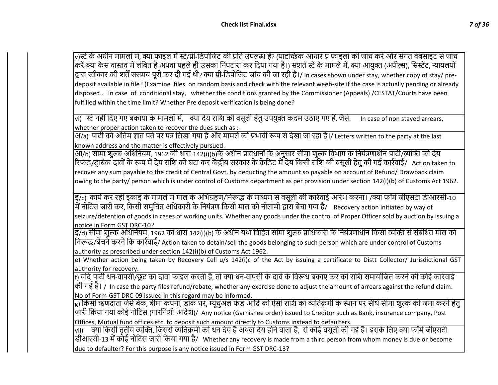v)स्टे के अधीन मामलों में, क्या फाइल में स्टे/प्री-डिपोजिट की प्रति उपलब्ध है? (यार्दाच्छेक आधार प्र फाइलों की जांच करें और संगत वेबसाइट से जांच किरें क्या केस वास्तव में लंबित है अथवा पहले ही उसका निपटारा कर दिया गया है।) सशर्त स्टे के मामले में, क्या आयुक्त (अपील्स), सिस्टेट, न्यायलयों द्वारा स्वीकार की शतें ससमय पूरी कर दी गई थी? क्या प्री-डिपोजिट जांच की जा रही है।/ In cases shown under stay, whether copy of stay/ predeposit available in file? (Examine files on random basis and check with the relevant weeb-site if the case is actually pending or already disposed.. In case of conditional stay, whether the conditions granted by the Commissioner (Appeals) /CESTAT/Courts have been fulfilled within the time limit? Whether Pre deposit verification is being done?

vi) स्टे नहीं दिए गए बकाया के मामलों में, क्या देय राशि की वसूली हेतु उपयुक्त कदम उठाए गए हैं, जैसे: In case of non stayed arrears, whether proper action taken to recover the dues such as :-

अ/a) पार्टी को अंतिम ज्ञात पते पर पत्र लिखा गया है और मामले को प्रभावी रूप से देखा जा रहा है।/ Letters written to the party at the last known address and the matter is effectively pursued.

आ/b) सीमा शुल्क अधिनियम, 1962 की धारा 142(i)(b)के अधीन प्रावधानों के अनुसार सीमा शुल्क विभाग के नियंत्रणाधीन पार्टी/व्यक्ति को देय |रिफंड/डाबैक दावों के रूप में देय राशि को घटा कर केंद्रीय सरकार के क्रेडिट में देय किसी राशि की वसूली हेतु की गई कार्रवाई/ Action taken to recover any sum payable to the credit of Central Govt. by deducting the amount so payable on account of Refund/ Drawback claim owing to the party/ person which is under control of Customs department as per provision under section 142(i)(b) of Customs Act 1962.

इ/c) कार्य कर रही इकाई के मामले में माल के अभिग्रहण/निरूद्ध के माध्यम से वसूली की कार्रवाई आरंभ करना। /क्या फॉमे जीएसटी डीआरसी-10 मिं नोटिस जारी कर. किसी समचित अधिकारी के नियंत्रण किसी माल को नीलामी द्वारा बेचा गया है/ Recovery action initiated by way of seizure/detention of goods in cases of working units. Whether any goods under the control of Proper Officer sold by auction by issuing a notice in Form GST DRC-10?

(ई/d) सीमा शुल्क अधिनियम, 1962 की धारा 142(i)(b) के अधीन यथा विहित सीमा शुल्क प्राधिकारी के नियंत्रणाधीन किसी व्यक्ति से संबंधित माल को |निरूद्ध/बेचने करने कि कार्रवाई/ Action taken to detain/sell the goods belonging to such person which are under control of Customs authority as prescribed under section 142(i)(b) of Customs Act 1962.

e) Whether action being taken by Recovery Cell u/s 142(i)c of the Act by issuing a certificate to Distt Collector/ Jurisdictional GST authority for recovery.

<u>f)</u> यदि पार्टी धन-वापसी/छूट का दावा फाइल करती है, तो क्या धन-वापसी के दावे के विरूध बकाए कर की राशि समायोजित करने की कोई कार्रवाई की गई है। / In case the party files refund/rebate, whether any exercise done to adjust the amount of arrears against the refund claim. No of Form-GST DRC-09 issued in this regard may be informed.

 $_{\rm [g)}$  किसी ऋणदाता जैसे बैंक, बीमा कंपनी, डाक घर, म्यूचुअल फंड आदि को ऐसी राशि को व्यतिक्रमी के स्थान पर सीधे सीमा शुल्क को जमा करने हेतु जारी किया गया कोई नोटिस (गारनिशी आदेश)/ Any notice (Garnishee order) issued to Creditor such as Bank, insurance company, Post Offices, Mutual fund offices etc. to deposit such amount directly to Customs instead to defaulters.

vii) क्या किसी तृतीय व्यक्ति, जिससे व्यतिक्रमी को धन देय है अथवा देय होने वाला है, से कोई वसूली की गई है। इसके लिए क्या फॉमे जीएसटी डीआिसी-13 मेंक ई ि नटस ज िी नकय गय है/ Whether any recovery is made from a third person from whom money is due or become due to defaulter? For this purpose is any notice issued in Form GST DRC-13?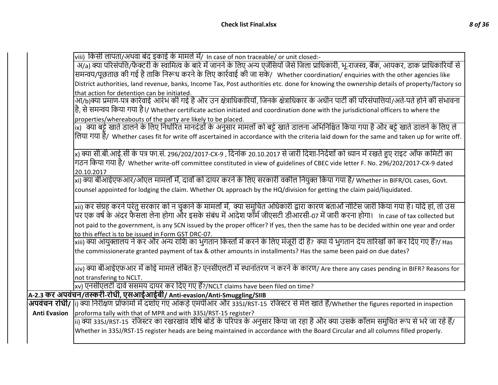| viii) किसी लापता/अथवा बंद इकाई के मामले में/ In case of non traceable/ or unit closed:-                                                                     |
|-------------------------------------------------------------------------------------------------------------------------------------------------------------|
| अ/a) क्या परिसंपत्ति/फैक्टरी के स्वामित्व के बारे में जानने के लिए अन्य एजेंसियों जैसे जिला प्राधिकारी, भू-राजस्व, बैंक, आयकर, डाक प्राधिकारियों से         |
| समन्वय/पूछताछ की गई है ताकि निरूध करने के लिए कार्रवाई की जा सके/ Whether coordination/ enquiries with the other agencies like                              |
| District authorities, land revenue, banks, Income Tax, Post authorities etc. done for knowing the ownership details of property/factory so                  |
| that action for detention can be initiated.                                                                                                                 |
| आ/b)क्या प्रमाण-पत्र कार्रवाई आरंभ की गई है और उन क्षेत्राधिकारियों, जिनके क्षेत्राधिकार के अधीन पार्टी की परिसंपात्तियां/अते-पते होने की संभावना           |
| है, से समन्वय किया गया है।/ Whether certificate action initiated and coordination done with the jurisdictional officers to where the                        |
| properties/whereabouts of the party are likely to be placed.                                                                                                |
| ix) क्या बड़े खाते डालने के लिए निर्धारित मानदंडों के अनुसार मामलों को बड़े खाते डालना अभिनिश्चित किया गया है और बड़े खाते डालने के लिए ले                  |
| लिया गया है/ Whether cases fit for write off ascertained in accordance with the criteria laid down for the same and taken up for write off.                 |
|                                                                                                                                                             |
| x) क्या सी.बी.आई.सी के पत्र फा.सं. 296/202/2017-CX-9 , दिनांक 20.10.2017 से जारी दिशा-निर्देशों को ध्यान में रखते हुए राइट ऑफ कमिटी का                      |
| गठन किया गया है/ Whether write-off committee constituted in view of guidelines of CBEC vide letter F. No. 296/202/2017-CX-9 dated                           |
| 20.10.2017                                                                                                                                                  |
| xi) क्या बीआईएफआर/ओएल मामलों में, दावों को दायर करने के लिए सरकारी वकील नियुक्त किया गया है/ Whether in BIFR/OL cases, Govt.                                |
| counsel appointed for lodging the claim. Whether OL approach by the HQ/division for getting the claim paid/liquidated.                                      |
|                                                                                                                                                             |
| xii) कर संग्रह करने परंतु सरकार को न चुकाने के मामलों में, क्या समुचित अधिकारी द्वारा कारण बताओं नोटिस जारी किया गया है। यदि हां, तो उस                     |
| पर एक वर्ष के अंदर फैसला लेना होगा और इसके संबंध में आदेश फॉर्म जीएसटी डीआरसी-07 में जारी करना होगा। In case of tax collected but                           |
| not paid to the government, is any SCN issued by the proper officer? If yes, then the same has to be decided within one year and order                      |
| to this effect is to be issued in Form GST DRC-07.                                                                                                          |
| xiii) क्या आयुक्तालय ने कर और अन्य राशि का भुगतान किस्तों में करने के लिए मंजूरी दी है?  क्या ये भुगतान देय तारिखों को कर दिए गए हैं?/ Has                  |
| the commissionerate granted payment of tax & other amounts in installments? Has the same been paid on due dates?                                            |
| xiv) क्या बीआईएफआर में कोई मामले लंबित है? एनसीएलटी में स्थानांतरण न करने के कारण/ Are there any cases pending in BIFR? Reasons for                         |
|                                                                                                                                                             |
| not transfering to NCLT.<br>xv) एनसीएलटी दावे ससमय दायर कर दिए गए हैं?/NCLT claims have been filed on time?                                                 |
| A-2.3 कर अपवंचन/तस्करी-रोधी, एसआईआईबी/ Anti-evasion/Anti-Smuggling/SIIB                                                                                     |
| <b>अपवंचन रोधी/  </b> i) क्या निरीक्षण प्रोफामो में दशोए गए आंकड़े एमपीआर और 335J/RST-15 रजिस्टर से मेल खाते हैं/Whether the figures reported in inspection |
| Anti Evasion   proforma tally with that of MPR and with 335J/RST-15 register?                                                                               |
| ii) क्या 335J/RST-15  रजिस्टर का रखरखाव शीर्ष बोर्ड के परिपत्र के अनुसार किया जा रहा है और क्या उसके कॉलम समुचित रूप से भरे जा रहे हैं/                     |
| Whether in 335J/RST-15 register heads are being maintained in accordance with the Board Circular and all columns filled properly.                           |
|                                                                                                                                                             |
|                                                                                                                                                             |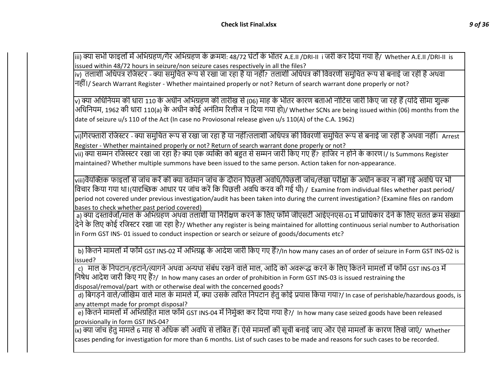liji) क्या सभी फाइलों में अभिग्रहण/गैर अभिग्रहण के क्रमश: 48/72 घंटों के भीतर A.E.II /DRI-II i जरी कर दिया गया है/ Whether A.E.II /DRI-II is issued within 48/72 hours in seizure/non seizure cases respectively in all the files?

iv) तलाशी अधिपत्र रजिस्टर - क्या समुचित रूप से रखा जा रहा है या नहीं? तलाशी अधिपत्र की विवरणी समुचित रूप से बनाई जा रही है अथवा िही।ों / Search Warrant Register - Whether maintained properly or not? Return of search warrant done properly or not?

[v] क्या अधिनियम की धारा 110 के अधीन अभिग्रहण की तारीख से (06) माह के भीतर कारण बताओ नोटिस जारी किए जा रहे हैं (यदि सीमा शुल्क अधिनियम, 1962 की धारा 110(a) के अधीन कोई अनंतिम रिलीज न दिया गया हो)/ Whether SCNs are being issued within (06) months from the date of seizure u/s 110 of the Act (In case no Proviosonal release given u/s 110(A) of the C.A. 1962)

vi)गिरफ्तारी रजिस्टर - क्या समुचित रूप से रखा जा रहा है या नहीं?तलाशी अधिपत्र की विवरणी समुचित रूप से बनाई जा रही है अथवा नहीं। Arrest Register - Whether maintained properly or not? Return of search warrant done properly or not?

vii) क्या सम्मन रजिस्स्टर रखा जा रहा है? क्या एक व्यक्ति को बहुत से सम्मन जारी किए गए हैं? हाजिर न होने के कारण।/ Is Summons Register maintained? Whether multiple summons have been issued to the same person. Action taken for non-appearance.

<u>viii)</u>वैयक्तिक फाइलों से जांच करें की क्या वर्तमान जांच के दौरान पिछली अवधि/पिछली जांच/लेखा परीक्षा के अधीन कवर न की गई अवधि पर भी |विचार किया गया था।(यादच्छिक आधार पर जांच करें कि पिछली अवधि करव की गई थी) / Examine from individual files whether past period/ period not covered under previous investigation/audit has been taken into during the current investigation? (Examine files on random bases to check whether past period covered)

a) क्या दस्तावेजों/माल के अभिग्रहण अथवा तलाशी या निरीक्षण करने के लिए फॉर्म जीएसटी आईएनएस-01 में प्राधिकार देने के लिए सतत क्रम संख्या दिने के लिए कोई रजिस्टर रखा जा रहा है?/ Whether any register is being maintained for allotting continuous serial number to Authorisation in Form GST INS- 01 issued to conduct inspection or search or seizure of goods/documents etc?

b) कितने मामलों में फॉर्म GST INS-02 में अभिग्रह्ण के आदेश जारी किए गए हैं?/In how many cases an of order of seizure in Form GST INS-02 is issued?

c) माल के निपटान/हटाने/त्यागने अथवा अन्यथा संबंध रखने वाले माल, आदि को अवरूद्ध करने के लिए कितने मामलों में फॉमे GST INS-03 में निर्षेध आदेश ज िी नकए गए हैं?/ In how many cases an order of prohibition in Form GST INS-03 is issued restraining the disposal/removal/part with or otherwise deal with the concerned goods?

d) बिगड़ने वाले/जोखिम वाले माल के मामले में, क्या उसके त्वरित निपटान हेतु कोई प्रयास किया गया?/ In case of perishable/hazardous goods, is any attempt made for prompt disposal?

e) कितने मामलों में अभिग्रहित माल फॉर्म GST INS-04 में निर्मुक्त कर दिया गया है?/ In how many case seized goods have been released provisionally in form GST INS-04?

ix) क्या जांच हेतु मामले 6 माह से अधिक की अवधि से लंबित हैं। ऐसे मामलों की सूची बनाई जाए और ऐसे मामलों के कारण लिखे जाएं/ Whether cases pending for investigation for more than 6 months. List of such cases to be made and reasons for such cases to be recorded.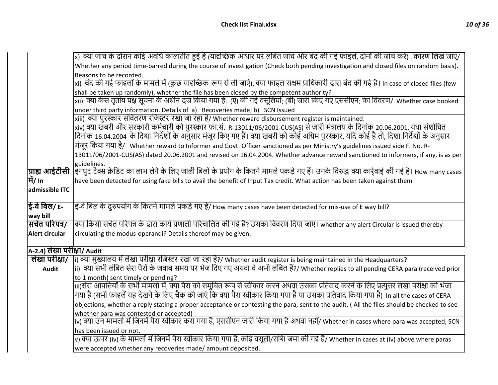|                            | x) क्या जांच के दौरान कोई अवधि कालातीत हुई है (यादच्छिक आधार पर लंबित जांच और बंद की गई फाइलें, दोनों की जांच करें) . कारण लिखे जाएं/           |
|----------------------------|-------------------------------------------------------------------------------------------------------------------------------------------------|
|                            | Whether any period time-barred during the course of investigation (Check both pending investigation and closed files on random basis).          |
|                            | Reasons to be recorded.                                                                                                                         |
|                            | xi)  बंद की गई फाइलों के मामले में (कुछ यादृच्छिक रूप से ली जाएं), क्या फाइल सक्षम प्राधिकारी द्वारा बंद की गई है। In case of closed files (few |
|                            | shall be taken up randomly), whether the file has been closed by the competent authority?                                                       |
|                            | xii)  क्या केस तृतीय पक्ष सूचना के अधीन दर्ज किया गया है.  (ए) की गई वसूलियां; (बी) जारी किए गए एससीएन; का विवरण/  whether case booked          |
|                            | under third party information. Details of a) Recoveries made; b) SCN Issued                                                                     |
|                            | xiii) क्या पुरस्कार संवितरण रजिस्टर रखा जा रहा है/Whether reward disbursement register is maintained.                                           |
|                            | xiv) क्या खबरी और सरकारी कर्मचारी को पुरस्कार फा.सं. R-13011/06/2001-CUS(AS) से जारी मंत्रालय के दिनांक 20.06.2001, यथा संशोधित                 |
|                            | दिनांक 16.04.2004 के दिशा-निर्देशों के अनुसार मंजूर किए गए हैं। क्या खबरी को कोई अग्रिम पुरस्कार, यदि कोई है तो, दिशा-निर्देशों के अनुसार       |
|                            | मंजूर किया गया है/ Whether reward to Informer and Govt. Officer sanctioned as per Ministry's guidelines issued vide F. No. R-                   |
|                            | 13011/06/2001-CUS(AS) dated 20.06.2001 and revised on 16.04.2004. Whether advance reward sanctioned to informers, if any, is as per             |
|                            | guidelines.                                                                                                                                     |
| ग्राह्य आईटीसी             | इनपुट टैक्स क्रेडिट का लाभ लेने के लिए जाली बिलों के प्रयोग के कितने मामले पकड़े गए हैं। उनके विरुद्ध क्या कार्रवाई की गई है। How many cases    |
| में/ In                    | have been detected for using fake bills to avail the benefit of Input Tax credit. What action has been taken against them                       |
| admissible ITC             |                                                                                                                                                 |
|                            |                                                                                                                                                 |
| ई-वे बिल/ E-               | ई-वे बिल के दुरुपयोग के कितने मामले पकड़े गए हैं/ How many cases have been detected for mis-use of E way bill?                                  |
| way bill                   |                                                                                                                                                 |
| सर्चत परिपत्र/             | क्या किसी सचेत परिपत्र के द्वारा कार्य प्रणाली परिचालित की गई है? उसका विवरण दिया जाए। whether any alert Circular is issued thereby             |
| Alert circular             | circulating the modus-operandi? Details thereof may be given.                                                                                   |
| A-2.4) लेखा परीक्षा/ Audit |                                                                                                                                                 |
| लेखा परीक्षा/              | i) क्या मुख्यालय में लेखा परीक्षा रजिस्टर रखा जा रहा है?/ Whether audit register is being maintained in the Headquarters?                       |
| <b>Audit</b>               | ii) क्या सभी लंबित सेरा पैरों के जवाब समय पर भेज दिए गए अथवा वे अभी लंबित हैं?/ Whether replies to all pending CERA para (received prior        |
|                            | to 1 month) sent timely or pending?                                                                                                             |
|                            | iii)सेरा आपत्तियों के सभी मामलो में, क्या पैरा को समुचित रूप से स्वीकार करने अथवा उसका प्रतिवाद करने के लिए प्रत्युत्तर लेखा परीक्षा को भेजा    |
|                            | .<br> गया है (सभी फाइलें यह देखने के लिए चैक की जाएं कि क्या पैरा स्वीकार किया गया है या उसका प्रतिवाद किया गया है) In all the cases of CERA    |
|                            | objections, whether a reply stating a proper acceptance or contesting the para, sent to the audit. (All the files should be checked to see      |
|                            | whether para was contested or accepted)                                                                                                         |
|                            | iv) क्या उन मामलो में जिनमें पैरा स्वीकार करा गया है, एससीएन जारी किया गया है अथवा नहीं/ Whether in cases where para was accepted, SCN          |
|                            | has been issued or not.                                                                                                                         |
|                            | v) क्या ऊपर (iv) के मामलों में जिनमें पैरा स्वीकार किया गया है, कोई वसूली/राशि जमा की गई है/ Whether in cases at (iv) above where paras         |
|                            | were accepted whether any recoveries made/ amount deposited.                                                                                    |
|                            |                                                                                                                                                 |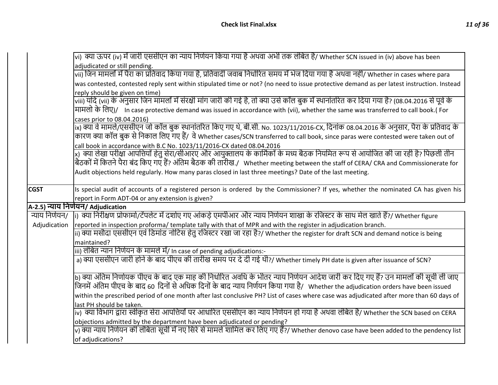|                | vi) क्या ऊपर (iv) में जारी एससीएन का न्याय निर्णयन किया गया है अथवा अभी तक लंबित है/ Whether SCN issued in (iv) above has been                                    |
|----------------|-------------------------------------------------------------------------------------------------------------------------------------------------------------------|
|                | adjudicated or still pending.                                                                                                                                     |
|                | vii) जिन मामलों में पैरा का प्रतिवाद किया गया है, प्रतिवादी जवाब निर्धारित समय में भेज दिया गया है अथवा नही/ Whether in cases where para                          |
|                | was contested, contested reply sent within stipulated time or not? (no need to issue protective demand as per latest instruction. Instead                         |
|                | reply should be given on time)                                                                                                                                    |
|                | viii) यदि (vii) के अनुसार जिन मामलों में संरक्षी मांग जारी की गई है, तो क्या उसे कॉल बुक में स्थानांतरित कर दिया गया है? (08.04.2016 से पूर्व के                  |
|                | मामलो के लिए)/ In case protective demand was issued in accordance with (vii), whether the same was transferred to call book.(For                                  |
|                | cases prior to 08.04.2016)                                                                                                                                        |
|                | ix) क्या वे मामले/एससीएन जो कॉल बुक स्थानांतरित किए गए थे, बी.सी. No. 1023/11/2016-CX, दिनांक 08.04.2016 के अनुसार, पैरा के प्रतिवाद के                           |
|                | कारण क्या कॉल बुक से निकाल लिए गए हैं/ वे Whether cases/SCN transferred to call book, since paras were contested were taken out of                                |
|                | call book in accordance with B.C No. 1023/11/2016-CX dated 08.04.2016                                                                                             |
|                | x) क्या लेखा परीक्षा आपत्तियों हेतु सेरा/सीआरए और आयुक्तालय के कार्मिकों के मध्य बैठक नियमित रूप से आयोजित की जा रही है? पिछली तीन                                |
|                | बैठकों में कितने पैरा बंद किए गए हैं? अंतिम बैठक की तारीख./ Whether meeting between the staff of CERA/ CRA and Commissionerate for                                |
|                | Audit objections held regularly. How many paras closed in last three meetings? Date of the last meeting.                                                          |
|                |                                                                                                                                                                   |
| <b>CGST</b>    | Is special audit of accounts of a registered person is ordered by the Commissioner? If yes, whether the nominated CA has given his                                |
|                | report in Form ADT-04 or any extension is given?                                                                                                                  |
|                | A-2.5) न्याय निर्णयन/ Adjudication                                                                                                                                |
| न्याय निर्णयन/ | li) क्या निरीक्षण प्रोफार्मा/टेंपलेट में दर्शाए गए आंकड़े एमपीआर और न्याय निर्णयन शाखा के रजिस्टर के साथ मेल खाते हैं?/ Whether figure                            |
| Adjudication   | reported in inspection proforma/ template tally with that of MPR and with the register in adjudication branch.                                                    |
|                | ii) क्या मसौदा एससीएन एवं डिमांड नोटिस हेतु रजिस्टर रखा जा रहा है?/ Whether the register for draft SCN and demand notice is being                                 |
|                | maintained?                                                                                                                                                       |
|                | iii) लंबित न्यान निर्णयन के मामले में/ In case of pending adjudications:-                                                                                         |
|                | a) क्या एससीएन जारी होने के बाद पीएच की तारीख समय पर दे दी गई थी?/ Whether timely PH date is given after issuance of SCN?                                         |
|                | b) क्या अंतिम निर्णायक पीएच के बाद एक माह की निर्धारित अवधि के भीतर न्याय निर्णयन आदेश जारी कर दिए गए हैं? उन मामलों की सूची ली जाए                               |
|                | जिनमें अंतिम पीएच के बाद 60 दिनों से अधिक दिनों के बाद न्याय निर्णयन किया गया है/ Whether the adjudication orders have been issued                                |
|                |                                                                                                                                                                   |
|                | within the prescribed period of one month after last conclusive PH? List of cases where case was adjudicated after more than 60 days of                           |
|                | last PH should be taken.<br>iv) क्या विभाग द्वारा स्वीकृत सेरा आपत्तियों पर आधारित एससीएन का न्याय निर्णयन हो गया है अथवा लंबित है/ Whether the SCN based on CERA |
|                | objections admitted by the department have been adjudicated or pending?                                                                                           |
|                | v) क्या न्याय निर्णयन की लंबिता सूची में नए सिरे से मामले शामिल कर लिए गए हैं?/ Whether denovo case have been added to the pendency list                          |
|                | of adjudications?                                                                                                                                                 |
|                |                                                                                                                                                                   |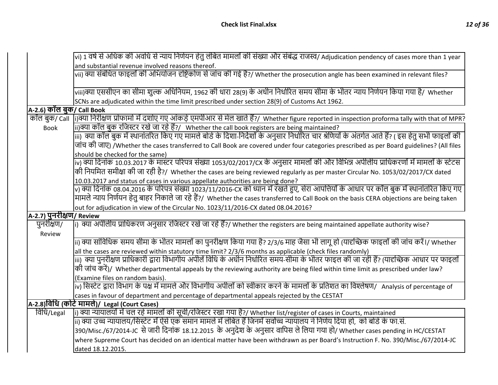**Check list Final.xlsx** *12 of 36*

|                           | vi) 1 वर्ष से अधिक की अवधि से न्याय निर्णयन हेतु लंबित मामलों की संख्या और संबंद्ध राजस्व/ Adjudication pendency of cases more than 1 year           |
|---------------------------|------------------------------------------------------------------------------------------------------------------------------------------------------|
|                           | and substantial revenue involved reasons thereof.                                                                                                    |
|                           | vii) क्या संबंधित फाइलों की अभियोजन दृष्टिकोण से जांच की गई है?/ Whether the prosecution angle has been examined in relevant files?                  |
|                           |                                                                                                                                                      |
|                           | viii)क्या एससीएन का सीमा शुल्क अधिनियम, 1962 की धारा 28(9) के अधीन निर्धारित समय सीमा के भीतर न्याय निर्णयन किया गया है/ Whether                     |
|                           | SCNs are adjudicated within the time limit prescribed under section 28(9) of Customs Act 1962.                                                       |
| A-2.6) कॉल बुक/ Call Book |                                                                                                                                                      |
| । कॉल बुक/ Call           | [i]क्या निरीक्षण प्रोफार्मा में दर्शाए गए आंकड़े एमपीआर से मेल खाते हैं?/ Whether figure reported in inspection proforma tally with that of MPR?     |
| <b>Book</b>               | ii)क्या कॉल बुक रजिस्टर रखे जा रहे हैं?/ Whether the call book registers are being maintained?                                                       |
|                           | iii) क्या कॉल बुक में स्थानांतरित किए गए मामले बोर्ड के दिशा-निर्देशों के अनुसार निर्धारित चार श्रेणियों के अंतर्गत आते हैं? ( इस हेतु सभी फाइलों की |
|                           | जांच की जाए) /Whether the cases transferred to Call Book are covered under four categories prescribed as per Board guidelines? (All files            |
|                           | should be checked for the same)                                                                                                                      |
|                           | iv) क्या दिनांक 10.03.2017 के मास्टर परिपत्र संख्या 1053/02/2017/Cx के अनुसार मामलों की और विभिन्न अपीलीय प्राधिकरणों में मामलों के स्टेटस           |
|                           | की नियमित समीक्षा की जा रही है?/ Whether the cases are being reviewed regularly as per master Circular No. 1053/02/2017/CX dated                     |
|                           | 10.03.2017 and status of cases in various appellate authorities are being done?                                                                      |
|                           | v) क्या दिनांक 08.04.2016 के परिपत्र संख्या 1023/11/2016-CX को ध्यान में रखते हुए, सेरा आपत्तियों के आधार पर कॉल बुक में स्थानांतरित किए गए          |
|                           | मामले न्याय निर्णयन हेतु बाहर निकाले जा रहे हैं?/ Whether the cases transferred to Call Book on the basis CERA objections are being taken            |
|                           | out for adjudication in view of the Circular No. 1023/11/2016-CX dated 08.04.2016?                                                                   |
| A-2.7) पुनरीक्षण/ Review  |                                                                                                                                                      |
| पुनरीक्षण/                | i) क्या अपीलीय प्राधिकरण अनुसार रजिस्टर रखे जा रहे हैं?/ Whether the registers are being maintained appellate authority wise?                        |
| Review                    |                                                                                                                                                      |
|                           | jij) क्या सांविधिक समय सीमा के भीतर मामलों का पुनरीक्षण किया गया है? 2/3/6 माह जैसा भी लागू हो (यादृच्छिक फाइलों की जांच करें।/ Whether              |
|                           | all the cases are reviewed within statutory time limit? 2/3/6 months as applicable (check files randomly)                                            |
|                           | iii) क्या पुनरीक्षण प्राधिकारी द्वारा विभागीय अपीलें विधि के अधीन निर्धारित समय-सीमा के भीतर फाइल की जा रही हैं? (यादृच्छिक आधार पर फाइलों           |
|                           | की जांच करें)/ Whether departmental appeals by the reviewing authority are being filed within time limit as prescribed under law?                    |
|                           | (Examine files on random basis).                                                                                                                     |
|                           | iv) सिस्टेट द्वारा विभाग के पक्ष में मामले और विभागीय अपीलों को स्वीकार करने के मामलों के प्रतिशत का विश्लेषण/ Analysis of percentage of             |
|                           | cases in favour of department and percentage of departmental appeals rejected by the CESTAT                                                          |
|                           | A-2.8)विधि (कोर्ट मामले)/ Legal (Court Cases)                                                                                                        |
| विधि/Legal                | i) क्या न्यायालयों में चल रहे मामलों की सूची/रजिस्टर रखा गया है?/ Whether list/register of cases in Courts, maintained                               |
|                           | ii) क्या उच्च न्यायालय/सिस्टेट में ऐसे एक समान मामले में लंबित हैं जिनमें सर्वोच्च न्यायालय ने निर्णय दिया हो, को बोर्ड के फा.सं.                    |
|                           | 390/Misc./67/2014-JC से जारी दिनांक 18.12.2015 के अनुदेश के अनुसार वापिस ले लिया गया हो/ Whether cases pending in HC/CESTAT                          |
|                           | where Supreme Court has decided on an identical matter have been withdrawn as per Board's Instruction F. No. 390/Misc./67/2014-JC                    |
|                           | dated 18.12.2015.                                                                                                                                    |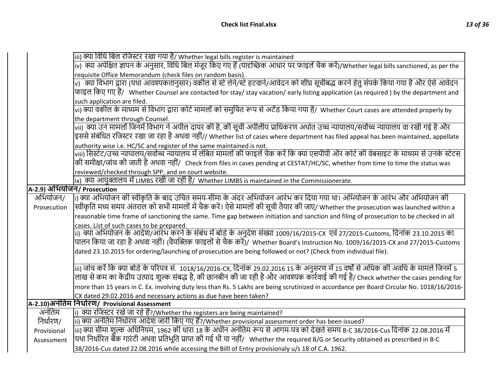**Check list Final.xlsx** *13 of 36*

|                                                                                                                                             | iii) क्या विधि बिल रजिस्टर रखा गया है/ Whether legal bills register is maintained                                                             |  |  |
|---------------------------------------------------------------------------------------------------------------------------------------------|-----------------------------------------------------------------------------------------------------------------------------------------------|--|--|
| iv) क्या अपेक्षित ज्ञापन के अनुसार, विधि बिल मंजूर किए गए हैं (यादच्छिक आधार पर फाइलें चैक करें)/Whether legal bills sanctioned, as per the |                                                                                                                                               |  |  |
| requisite Office Memorandum (check files on random basis).                                                                                  |                                                                                                                                               |  |  |
|                                                                                                                                             | v) क्या विभाग द्वारा (यथा आवश्यकतानुसार) वकील से स्टे लेने/स्टे हटवाने/आवेदन को शीघ्र सूचीबद्ध करने हेतु संपर्क किया गया है और ऐसे आवेदन      |  |  |
| फाइल किए गए हैं/ Whether Counsel are contacted for stay/ stay vacation/ early listing application (as required) by the department and       |                                                                                                                                               |  |  |
|                                                                                                                                             | such application are filed.                                                                                                                   |  |  |
|                                                                                                                                             | vi) क्या वकील के माध्यम से विभाग द्वारा कोर्ट मामलों को समुचित रूप से अटेंड किया गया है/ Whether Court cases are attended properly by         |  |  |
|                                                                                                                                             | the department through Counsel.                                                                                                               |  |  |
|                                                                                                                                             | vii) क्या उन मामलों जिनमें विभाग ने अपील दायर की है, की सूची अपीलीय प्राधिकरण अर्थात उच्च न्यायालय/सर्वोच्च न्यायालय वा रखी गई है और          |  |  |
|                                                                                                                                             | इससे संबंधित रजिस्टर रखा जा रहा है अथवा नहीं// Whether list of cases where department has filed appeal has been maintained, appellate         |  |  |
|                                                                                                                                             | authority wise i.e. HC/SC and register of the same maintained is not.                                                                         |  |  |
|                                                                                                                                             | viii) सिस्टेट/उच्च न्यायालय/सर्वोच्च न्यायालय में लंबित मामलों की फाइलें चैक करें कि क्या एसपीपी और कोर्ट की वेबसाइट के माध्यम से उनके स्टेटस |  |  |
| की समीक्षा/जांच की जाती है अथवा नहीं/ Check from files in cases pending at CESTAT/HC/SC, whether from time to time the status was           |                                                                                                                                               |  |  |
|                                                                                                                                             | reviewed/checked through SPP, and on court website.                                                                                           |  |  |
|                                                                                                                                             | ix) क्या आयुक्तालय में LIMBS रखी जा रही है/ Whether LIMBS is maintained in the Commissionerate.                                               |  |  |
| A-2.9) अभियोजन/ Prosecution                                                                                                                 |                                                                                                                                               |  |  |
| अभियोजन/                                                                                                                                    | i) क्या अभियोजन की स्वीकृति के बाद उचित समय-सीमा के अंदर अभियोजन आरंभ कर दिया गया था। अभियोजन के आरंभ और अभियोजन की                           |  |  |
| Prosecution                                                                                                                                 | स्वीकृति मध्य समय अंतराल को सभी मामलों में चैक करें। ऐसे मामलों की सूची तैयार की जाए/ Whether the prosecution was launched within a           |  |  |
|                                                                                                                                             | reasonable time frame of sanctioning the same. Time gap between initiation and sanction and filing of prosecution to be checked in all        |  |  |
|                                                                                                                                             | cases. List of such cases to be prepared.                                                                                                     |  |  |
|                                                                                                                                             | ii) क्या अभियोजन के आदेश/आरंभ करने के संबंध में बोर्ड के अनुदेश संख्या 1009/16/2015-CX एवं 27/2015-Customs, दिनांक 23.10.2015 का              |  |  |
|                                                                                                                                             | पालन किया जा रहा है अथवा नहीं। (वैयक्तिक फाइलों से चैक करें)/ Whether Board's Instruction No. 1009/16/2015-CX and 27/2015-Customs             |  |  |
|                                                                                                                                             | dated 23.10.2015 for ordering/launching of prosecution are being followed or not? (Check from individual file).                               |  |  |
|                                                                                                                                             |                                                                                                                                               |  |  |
|                                                                                                                                             | iii) जांच करें कि क्या बोर्ड के परिपत्र सं. 1018/16/2016-CX, दिनांक 29.02.2016 15 के अनुसरण में 15 वर्षों से अधिक की अवधि के मामले जिनमें 5   |  |  |
|                                                                                                                                             | लाख से कम का केंद्रीय उत्पाद शुल्क संबद्ध है, की छानबीन की जा रही है और आवश्यक कार्रवाई की गई है/ Check whether the cases pending for         |  |  |
|                                                                                                                                             | more than 15 years in C. Ex. involving duty less than Rs. 5 Lakhs are being scrutinized in accordance per Board Circular No. 1018/16/2016-    |  |  |
|                                                                                                                                             | CX dated 29.02.2016 and necessary actions as due have been taken?                                                                             |  |  |
|                                                                                                                                             | A-2.10)अनंतिम निर्धारण/ Provisional Assessment                                                                                                |  |  |
| अनंतिम                                                                                                                                      | i) क्या रजिस्टर रखे जा रहे हैं?/Whether the registers are being maintained?                                                                   |  |  |
| निर्धारण/                                                                                                                                   | ii) क्या अनंतिम निर्धारण आदेश जारी किए गए हैं?/Whether provisional assessment order has been issued?                                          |  |  |
| Provisional                                                                                                                                 | iii) क्या सीमा शुल्क अधिनियम, 1962 की धारा 18 के अधीन अनंतिम रूप से आगम-पत्र को देखते समय B-C 38/2016-Cus दिनांक 22.08.2016 में               |  |  |
| Assessment                                                                                                                                  | यथा निर्धारित बैँक गारंटी अथवा प्रतिभूति प्राप्त की गई थी या नहीं/ Whether the required B/G or Security obtained as prescribed in B-C         |  |  |
|                                                                                                                                             | 38/2016-Cus dated 22.08.2016 while accessing the Billl of Entry provisionaly u/s 18 of C.A. 1962.                                             |  |  |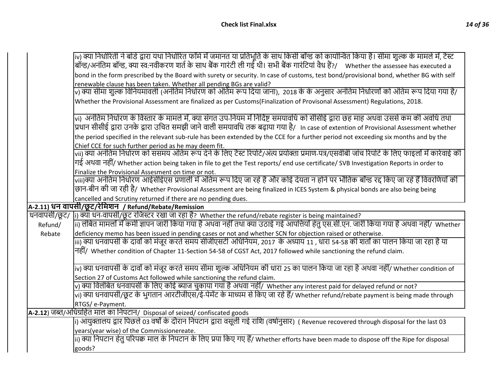|                                                                                                                                           | iv) क्या निर्धारिती ने बोर्ड द्वारा यथा निर्धारित फॉर्म में जमानत या प्रतिभूति के साथ किसी बॉन्ड को कार्यान्वित किया है। सीमा शुल्क के मामले में, टैस्ट |  |  |  |  |
|-------------------------------------------------------------------------------------------------------------------------------------------|---------------------------------------------------------------------------------------------------------------------------------------------------------|--|--|--|--|
|                                                                                                                                           | बॉन्ड/अनंतिम बॉन्ड, क्या स्व:नवीकरण शर्त के साथ बैंक गारंटी ली गई थी। सभी बैंक गारंटियां वैध हैं?/ Whether the assessee has executed a                  |  |  |  |  |
| bond in the form prescribed by the Board with surety or security. In case of customs, test bond/provisional bond, whether BG with self    |                                                                                                                                                         |  |  |  |  |
| renewable clause has been taken. Whether all pending BGs are valid?                                                                       |                                                                                                                                                         |  |  |  |  |
| v) क्या सीमा शुल्क विनियमावली (अनंतिम निर्धारण को अंतिम रूप दिया जाना), 2018 के के अनुसार अनंतिम निर्धारणों को अंतिम रूप दिया गया है/     |                                                                                                                                                         |  |  |  |  |
|                                                                                                                                           | Whether the Provisional Assessment are finalized as per Customs(Finalization of Provisonal Assessment) Regulations, 2018.                               |  |  |  |  |
|                                                                                                                                           |                                                                                                                                                         |  |  |  |  |
|                                                                                                                                           | vi) अनंतिम निर्धारण के विस्तार के मामले में, क्या संगत उप-नियम में निर्दिष्ट समयावधि को सीसीई द्वारा छह माह अथवा उससे कम की अवधि तथा                    |  |  |  |  |
|                                                                                                                                           | प्रधान सीसीई द्वारा उनके द्वारा उचित समझी जाने वाली समयावधि तक बढ़ाया गया है/ In case of extention of Provisional Assessment whether                    |  |  |  |  |
|                                                                                                                                           | the period specified in the relevant sub-rule has been extended by the CCE for a further period not exceeding six months and by the                     |  |  |  |  |
|                                                                                                                                           | Chief CCE for such further period as he may deem fit.                                                                                                   |  |  |  |  |
|                                                                                                                                           | vii) क्या अनंतिम निर्धारण को ससमय अंतिम रूप देने के लिए टैस्ट रिपोर्ट/अंत्य प्रयोक्ता प्रमाण-पत्र/एसवीबी जांच रिपोर्ट के लिए फाइलों में कार्रवाई की     |  |  |  |  |
|                                                                                                                                           | गई अथवा नहीं/ Whether action being taken in file to get the Test reports/ end use certificate/ SVB Investigation Reports in order to                    |  |  |  |  |
|                                                                                                                                           | Finalize the Provisional Assesment on time or not.                                                                                                      |  |  |  |  |
| viii)क्या अनंतिम निर्धारण आईसीईएस प्रणाली में अंतिम रूप दिए जा रहे है और कोई देयता न होने पर भौतिक बॉन्ड रद्द किए जा रहे हैं विवरणियों की |                                                                                                                                                         |  |  |  |  |
|                                                                                                                                           | छान-बीन की जा रही है/ Whether Provisional Assessment are being finalized in ICES System & physical bonds are also being being                           |  |  |  |  |
|                                                                                                                                           | cancelled and Scrutiny returned if there are no pending dues.                                                                                           |  |  |  |  |
|                                                                                                                                           | A-2.11) धन वापसी/छूट/रेमिशन  / Refund/Rebate/Remission                                                                                                  |  |  |  |  |
| धनवापसी/छूट/                                                                                                                              | i) क्या धन-वापसी/छूट रजिस्टर रखा जा रहा है? Whether the refund/rebate register is being maintained?                                                     |  |  |  |  |
| Refund/                                                                                                                                   | ii) लंबित मामलों में कमी ज्ञापन जारी किया गया है अथवा नहीं तथा क्या उठाई गई आपत्तियों हेतु एस.सी.एन. जारी किया गया है अथवा नहीं/ Whether                |  |  |  |  |
| Rebate                                                                                                                                    | deficiency memo has been issued in pending cases or not and whether SCN for objection raised or otherwise.                                              |  |  |  |  |
|                                                                                                                                           | iii) क्या धनवापसी के दावों को मंजूर करते समय सीजीएसटी अधिनियम, 2017 के अध्याय 11 , धारा 54-58 की शर्तों का पालन किया जा रहा है या                       |  |  |  |  |
|                                                                                                                                           | नहीं/ Whether condition of Chapter 11-Section 54-58 of CGST Act, 2017 followed while sanctioning the refund claim.                                      |  |  |  |  |
|                                                                                                                                           |                                                                                                                                                         |  |  |  |  |
|                                                                                                                                           | iv) क्या धनवापसी के दावों को मंजूर करते समय सीमा शुल्क अधिनियम की धारा 25 का पालन किया जा रहा है अथवा नहीं/ Whether condition of                        |  |  |  |  |
|                                                                                                                                           | Section 27 of Customs Act followed while sanctioning the refund claim.                                                                                  |  |  |  |  |
|                                                                                                                                           | v) क्या विलंबित धनवापसी के लिए कोई ब्याज चुकाया गया है अथवा नहीं/ Whether any interest paid for delayed refund or not?                                  |  |  |  |  |
|                                                                                                                                           | vi) क्या धनवापसी/छूट के भुगतान आरटीजीएस/ई-पेमेंट के माध्यम से किए जा रहे हैं/ Whether refund/rebate payment is being made through                       |  |  |  |  |
|                                                                                                                                           | RTGS/ e-Payment.                                                                                                                                        |  |  |  |  |
|                                                                                                                                           | A-2.12) जब्त/अधिग्रहित माल का निपटान/ Disposal of seized/ confiscated goods                                                                             |  |  |  |  |
|                                                                                                                                           | i) आयुक्तालय द्वार पिछले 03 वर्षों के दौरान निपटान द्वारा वसूली गई राशि (वर्षानुसार) ( Revenue recovered through disposal for the last 03               |  |  |  |  |
|                                                                                                                                           | years(year wise) of the Commissionereate.                                                                                                               |  |  |  |  |
|                                                                                                                                           | ii) क्या निपटान हेतु परिपक माल के निपटान के लिए प्रया किए गए हैं/ Whether efforts have been made to dispose off the Ripe for disposal                   |  |  |  |  |
|                                                                                                                                           | goods?                                                                                                                                                  |  |  |  |  |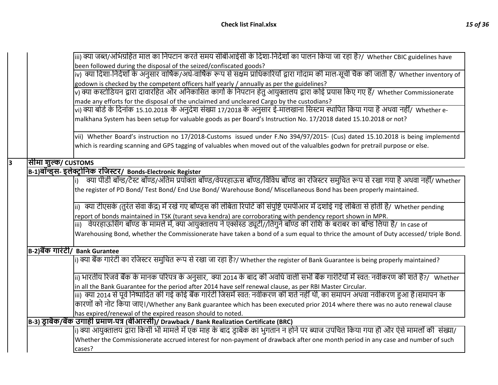| iv) क्या दिशा-निर्देशों के अनुसार वार्षिक/अर्ध-वार्षिक रूप से सक्षम प्राधिकारियों द्वारा गोदाम की माल-सूची चैक की जाती है/ Whether inventory of<br>v) क्या कस्टोडियन द्वारा दावारहित और अनिकासित कार्गो के निपटान हेतु आयुक्तालय द्वारा कोई प्रयास किए गए हैं/ Whether Commissionerate<br>vi) क्या बोर्ड के दिनांक 15.10.2018 के अनुदेश संख्या 17/2018 के अनुसार ई-मालखाना सिस्टम स्थापित किया गया है अथवा नहीं/ Whether e-<br>malkhana System has been setup for valuable goods as per Board's Instruction No. 17/2018 dated 15.10.2018 or not?<br>vii) Whether Board's instruction no 17/2018-Customs issued under F.No 394/97/2015- (Cus) dated 15.10.2018 is being implementd |
|-----------------------------------------------------------------------------------------------------------------------------------------------------------------------------------------------------------------------------------------------------------------------------------------------------------------------------------------------------------------------------------------------------------------------------------------------------------------------------------------------------------------------------------------------------------------------------------------------------------------------------------------------------------------------------------|
|                                                                                                                                                                                                                                                                                                                                                                                                                                                                                                                                                                                                                                                                                   |
|                                                                                                                                                                                                                                                                                                                                                                                                                                                                                                                                                                                                                                                                                   |
|                                                                                                                                                                                                                                                                                                                                                                                                                                                                                                                                                                                                                                                                                   |
|                                                                                                                                                                                                                                                                                                                                                                                                                                                                                                                                                                                                                                                                                   |
|                                                                                                                                                                                                                                                                                                                                                                                                                                                                                                                                                                                                                                                                                   |
|                                                                                                                                                                                                                                                                                                                                                                                                                                                                                                                                                                                                                                                                                   |
|                                                                                                                                                                                                                                                                                                                                                                                                                                                                                                                                                                                                                                                                                   |
|                                                                                                                                                                                                                                                                                                                                                                                                                                                                                                                                                                                                                                                                                   |
| which is rearding scanning and GPS tagging of valuables when moved out of the valualbles godwn for pretrail purpose or else.                                                                                                                                                                                                                                                                                                                                                                                                                                                                                                                                                      |
|                                                                                                                                                                                                                                                                                                                                                                                                                                                                                                                                                                                                                                                                                   |
|                                                                                                                                                                                                                                                                                                                                                                                                                                                                                                                                                                                                                                                                                   |
| क्या पीडी बॉन्ड/टैस्ट बॉण्ड/अंतिम प्रयोक्ता बॉण्ड/वेयरहाऊस बॉण्ड/विविध बॉण्ड का रजिस्टर समुचित रूप से रखा गया है अथवा नहीं/ Whether                                                                                                                                                                                                                                                                                                                                                                                                                                                                                                                                               |
| the register of PD Bond/ Test Bond/ End Use Bond/ Warehouse Bond/ Miscellaneous Bond has been properly maintained.                                                                                                                                                                                                                                                                                                                                                                                                                                                                                                                                                                |
| ii)   क्या टीएसके (तुरंत सेवा केंद्र) में रखे गए बॉण्ड्स की लंबिता रिपोर्ट की संपुष्टि एमपीआर में दर्शाई गई लंबिता से होती है/  whether pending                                                                                                                                                                                                                                                                                                                                                                                                                                                                                                                                   |
|                                                                                                                                                                                                                                                                                                                                                                                                                                                                                                                                                                                                                                                                                   |
| iii) वेयरहाऊसिंग बॉण्ड के मामले में, क्या आयुक्तालय ने एक्सेस्ड ड्यूटी//तिगुने बॉण्ड की राशि के बराबर का बॉन्ड लिया है/ In case of                                                                                                                                                                                                                                                                                                                                                                                                                                                                                                                                                |
| Warehousing Bond, whether the Commissionerate have taken a bond of a sum equal to thrice the amount of Duty accessed/triple Bond.                                                                                                                                                                                                                                                                                                                                                                                                                                                                                                                                                 |
|                                                                                                                                                                                                                                                                                                                                                                                                                                                                                                                                                                                                                                                                                   |
| i) क्या बैंक गारंटी का रजिस्टर समुचित रूप से रखा जा रहा है?/ Whether the register of Bank Guarantee is being properly maintained?                                                                                                                                                                                                                                                                                                                                                                                                                                                                                                                                                 |
| ii) भारतीय रिजर्व बैंक के मानक परिपत्र के अनुसार, क्या 2014 के बाद की अवधि वाली सभी बैंक गारंटियों में स्वत: नवीकरण की शर्त है?/  Whether                                                                                                                                                                                                                                                                                                                                                                                                                                                                                                                                         |
|                                                                                                                                                                                                                                                                                                                                                                                                                                                                                                                                                                                                                                                                                   |
| iii)  क्या 2014 से पूर्व निष्पादित की गई कोई बैंक गारंटी जिसमें स्वत: नवीकरण की शर्त नहीं थी, का समापन अथवा नवीकरण हुआ है।समापन के                                                                                                                                                                                                                                                                                                                                                                                                                                                                                                                                                |
| कारणों को नोट किया जाए।/Whether any Bank guarantee which has been executed prior 2014 where there was no auto renewal clause                                                                                                                                                                                                                                                                                                                                                                                                                                                                                                                                                      |
|                                                                                                                                                                                                                                                                                                                                                                                                                                                                                                                                                                                                                                                                                   |
|                                                                                                                                                                                                                                                                                                                                                                                                                                                                                                                                                                                                                                                                                   |
| i) क्या आयुक्तालय द्वारा किसी भी मामले में एक माह के बाद ड़ाबैक का भुगतान न होने पर ब्याज उपचित किया गया हो और ऐसे मामलों की  संख्या/                                                                                                                                                                                                                                                                                                                                                                                                                                                                                                                                             |
| Whether the Commissionerate accrued interest for non-payment of drawback after one month period in any case and number of such                                                                                                                                                                                                                                                                                                                                                                                                                                                                                                                                                    |
|                                                                                                                                                                                                                                                                                                                                                                                                                                                                                                                                                                                                                                                                                   |
|                                                                                                                                                                                                                                                                                                                                                                                                                                                                                                                                                                                                                                                                                   |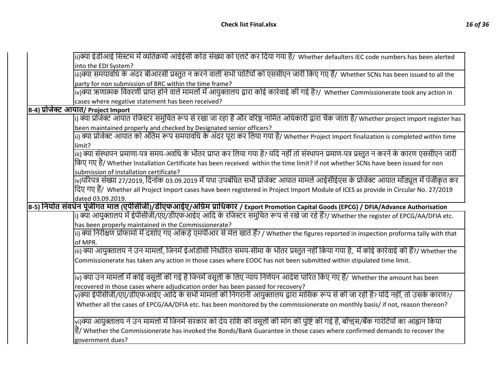| ii)क्या ईडीआई सिस्टम में व्यतिक्रमी आईईसी कोड संख्या को एलर्ट कर दिया गया है/ Whether defaulters IEC code numbers has been alerted                            |  |  |
|---------------------------------------------------------------------------------------------------------------------------------------------------------------|--|--|
| into the EDI System?<br>iii)क्या समयावधि के अंदर बीआरसी प्रस्तुत न करने वाली सभी पार्टियों को एससीएन जारी किए गए हैं/ Whether SCNs has been issued to all the |  |  |
|                                                                                                                                                               |  |  |
|                                                                                                                                                               |  |  |
| iv)क्या ऋणात्मक विवरणी प्राप्त होने वाले मामलों में आयुक्तालय द्वारा कोई कार्रवाई की गई है?/ Whether Commissionerate took any action in                       |  |  |
|                                                                                                                                                               |  |  |
|                                                                                                                                                               |  |  |
| i) क्या प्रोजेक्ट आयात रजिस्टर समुचित रूप से रखा जा रहा है और वरिष्ठ नामित अधिकारी द्वारा चैक जाता है/ Whether project import register has                    |  |  |
|                                                                                                                                                               |  |  |
| ii) क्या प्रोजेक्ट आयात को अंतिम रूप समयावधि के अंदर पूरा कर लिया गया है/ Whether Project Import finalization is completed within time                        |  |  |
|                                                                                                                                                               |  |  |
| iii) क्या संस्थापन प्रमाणा-पत्र समय-अवधि के भीतर प्राप्त कर लिया गया है? यदि नहीं तो संस्थापन प्रमाण-पत्र प्रस्तुत न करने के कारण एससीएन जारी                 |  |  |
|                                                                                                                                                               |  |  |
|                                                                                                                                                               |  |  |
| iv)परिपत्र संख्या 27/2019, दिनांक 03.09.2019 में यथा उपबंधित सभी प्रोजेक्ट आयात मामले आईसीईएस के प्रोजेक्ट आयात मॉड्यूल में पंजीकृत कर                        |  |  |
| दिए गए हैं/ Whether all Project Import cases have been registered in Project Import Module of ICES as provide in Circular No. 27/2019                         |  |  |
|                                                                                                                                                               |  |  |
|                                                                                                                                                               |  |  |
| i) क्या आयुक्तालय में ईपीसीजी/एए/डीएफआईए आदि के रजिस्टर समुचित रूप से रखे जा रहे हैं?/ Whether the register of EPCG/AA/DFIA etc.                              |  |  |
|                                                                                                                                                               |  |  |
| ii) क्या निरीक्षण प्रोफार्मा में दर्शाए गए आंकड़े एमपीआर से मेल खाते हैं? / Whether the figures reported in inspection proforma tally with that               |  |  |
|                                                                                                                                                               |  |  |
| iii) क्या आयुक्तालय ने उन मामलों, जिनमें ईओडीसी निर्धारित समय-सीमा के भीतर प्रस्तुत नहीं किया गया है, में कोई कार्रवाई की हैं?/ Whether the                   |  |  |
|                                                                                                                                                               |  |  |
|                                                                                                                                                               |  |  |
|                                                                                                                                                               |  |  |
| v)क्या ईपीसीजी/एए/डीएफआईए आदि के सभी मामलो की निगरानी आयुक्तालय द्वारा मासिक रूप से की जा रही है? यदि नहीं, तो उसके कारण?/                                    |  |  |
|                                                                                                                                                               |  |  |
|                                                                                                                                                               |  |  |
|                                                                                                                                                               |  |  |
|                                                                                                                                                               |  |  |
|                                                                                                                                                               |  |  |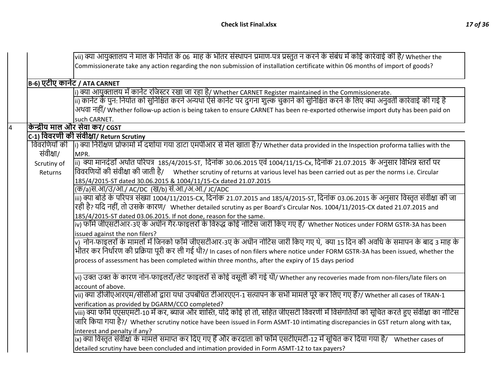|                                | vii) क्या आयुक्तालय ने माल के निर्यात के 06 माह के भीतर संस्थापन प्रमाण-पत्र प्रस्तुत न करने के संबंध में कोई कार्रवाई की है/ Whether the        |  |
|--------------------------------|--------------------------------------------------------------------------------------------------------------------------------------------------|--|
|                                | Commissionerate take any action regarding the non submission of installation certificate within 06 months of import of goods?                    |  |
|                                |                                                                                                                                                  |  |
| B-6) एटीए कार्नेट / ATA CARNET |                                                                                                                                                  |  |
|                                | i) क्या आयुक्तालय में कार्नेट रजिस्टर रखा जा रहा है/ Whether CARNET Register maintained in the Commissionerate.                                  |  |
|                                | [ii) कार्नेट के पुन: निर्यात को सुनिश्चित करने अन्यथा ऐसे कार्नेट पर दुगना शुल्क चुकाने को सुनिश्चित करने के लिए क्या अनुवर्ती कार्रवाई की गई है |  |
|                                | अथवा नहीं/ Whether follow-up action is being taken to ensure CARNET has been re-exported otherwise import duty has been paid on                  |  |
|                                | such CARNET.                                                                                                                                     |  |
|                                | किन्द्रीय माल और सेवा कर/ CGST                                                                                                                   |  |
|                                | C-1) विवरणी की संवीक्षा/ Return Scrutiny                                                                                                         |  |
| विवरणियों की                   | i) क्या निरीक्षण प्रोफार्मा में दर्शाया गया डाटा एमपीआर से मेल खाता है?/ Whether data provided in the Inspection proforma tallies with the       |  |
| संवीक्षा/                      | MPR.                                                                                                                                             |  |
| Scrutiny of                    | jii) क्या मानदंडों अर्थात परिपत्र  185/4/2015-ST,  दिनांक 30.06.2015 एवं 1004/11/15-Cx, दिनांक 21.07.2015  के अनुसार विभिन्न स्तरों पर           |  |
| Returns                        | विवरणियों की संवीक्षा की जाती है/<br>Whether scrutiny of returns at various level has been carried out as per the norms i.e. Circular            |  |
|                                | 185/4/2015-ST dated 30.06.2015 & 1004/11/15-Cx dated 21.07.2015                                                                                  |  |

|(क/a)स.आ/उ/आ./ AC/DC (ख/b) स.आ./अ.आ./ JC/ADC

iii) क्या बोर्ड के परिपत्र संख्या 1004/11/2015-CX, दिनांक 21.07.2015 and 185/4/2015-ST, दिनांक 03.06.2015 के अनुसार विस्तृत संवीक्षा की जा  $|$ रही है? यदि नहीं, तो उसके कारण/ Whether detailed scrutiny as per Board's Circular Nos. 1004/11/2015-CX dated 21.07.2015 and 185/4/2015-ST dated 03.06.2015. If not done, reason for the same.

liv) फॉर्म जीएसटीआर-3ए के अधीन गैर-फाइलरों के विरुद्ध कोई नोटिस जारी किए गए हैं/ Whether Notices under FORM GSTR-3A has been issued against the non filers?

v) नोन-फाइलरों के मामलों में जिनको फॉमे जीएसटीआर-3ए के अधीन नोटिस जारी किए गए थे, क्या 15 दिन की अवधि के समापन के बाद 3 माह के |भीतर कर निर्धारण की प्रक्रिया पूरी कर ली गई थी?/ In cases of non filers where notice under FORM GSTR-3A has been issued, whether the  $|$  process of assessment has been completed within three months, after the expiry of 15 days period

vi) उक्त उक्त के कारण नोन-फाइलरों/लेट फाइलरों से कोई वसूली की गई थी/ Whether any recoveries made from non-filers/late filers on account of above.

vii) क्या डीजीएआरएम/सीसीओ द्वारा यथा उपबंधित टीआरएएन-1 सत्यापन के सभी मामले पूरे कर लिए गए हैं?/ Whether all cases of TRAN-1 verification as provided by DGARM/CCO completed?

viii) क्या फॉर्म एएसएमटी-10 में कर, ब्याज और शास्ति, यदि कोई हो तो, सहित जीएसटी विवरणी में विसंगतियों को सूचित करते हुए संवीक्षा का नोटिस  $|$ जारि किया गया है?/ Whether scrutiny notice have been issued in Form ASMT-10 intimating discrepancies in GST return along with tax, interest and penalty if any?

ix) क्या विस्तृत संवीक्षा के मामले समाप्त कर दिए गए हैं और करदाता को फॉर्म एसटीएमटी-12 में सूचित कर दिया गया है/ Whether cases of detailed scrutiny have been concluded and intimation provided in Form ASMT-12 to tax payers?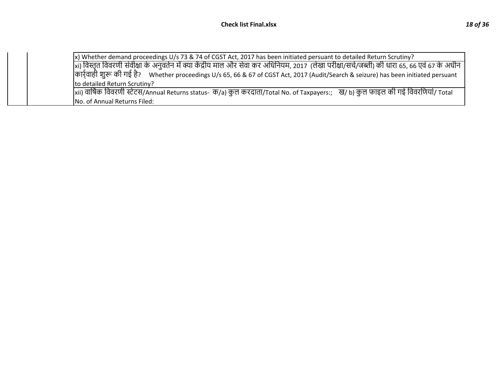| x) Whether demand proceedings U/s 73 & 74 of CGST Act, 2017 has been initiated persuant to detailed Return Scrutiny?                           |
|------------------------------------------------------------------------------------------------------------------------------------------------|
| xi) विस्तृत विवरणी संवीक्षा के अनुवर्तन में क्या केंद्रीय माल और सेवा कर अधिनियम, 2017 (लेखा परीक्षा/सर्च/जब्ती) की धारा 65, 66 एवं 67 के अधीन |
| कार्रवाही शुरू की गई है? Whether proceedings U/s 65, 66 & 67 of CGST Act, 2017 (Audit/Search & seizure) has been initiated persuant            |
| to detailed Return Scrutiny?                                                                                                                   |
| xii) वार्षिक विवरणी स्टेटस/Annual Returns status- क/a) कुल करदाता/Total No. of Taxpayers:; ख/ b) कुल फाइल की गई विवरणियां/ Total               |
| No. of Annual Returns Filed:                                                                                                                   |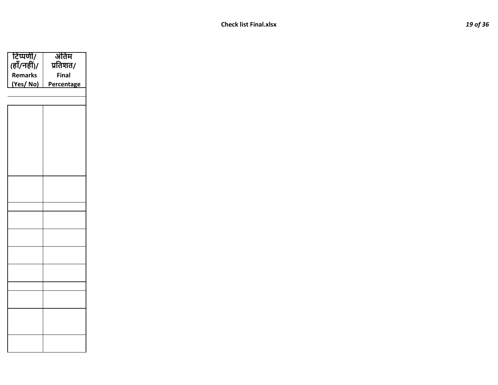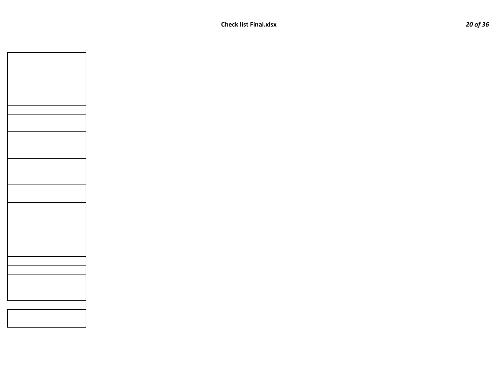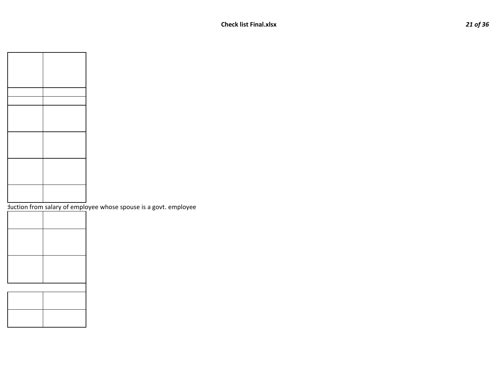

Juction from salary of employee whose spouse is a govt. employee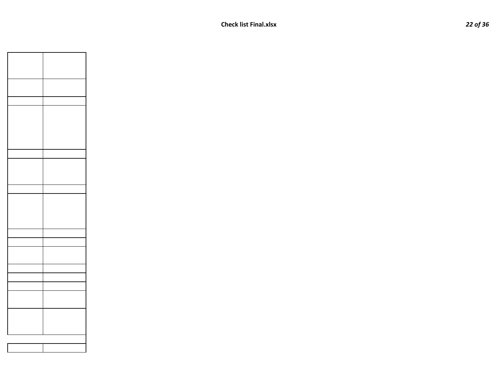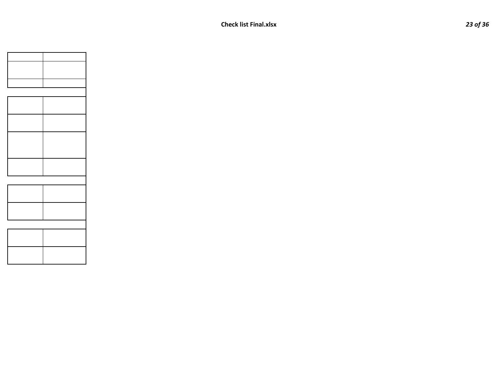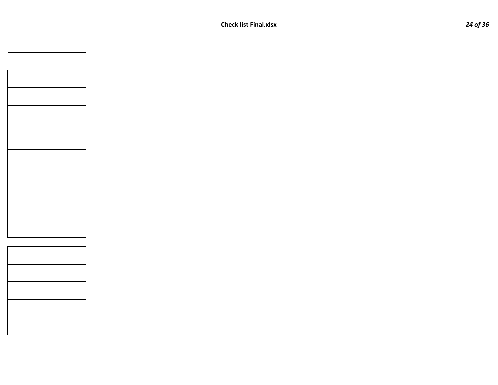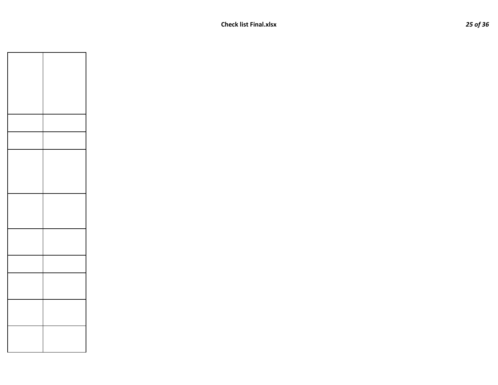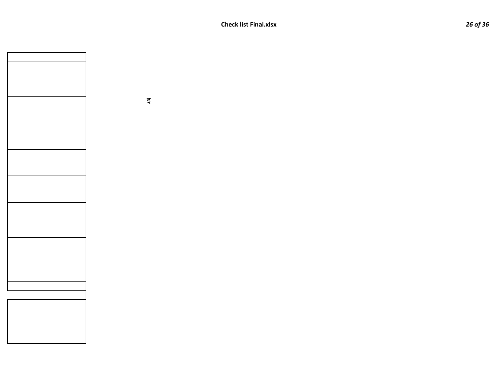इ

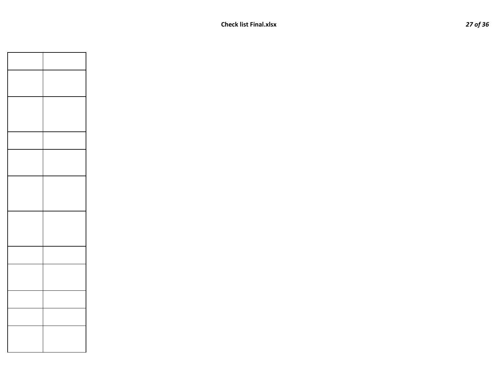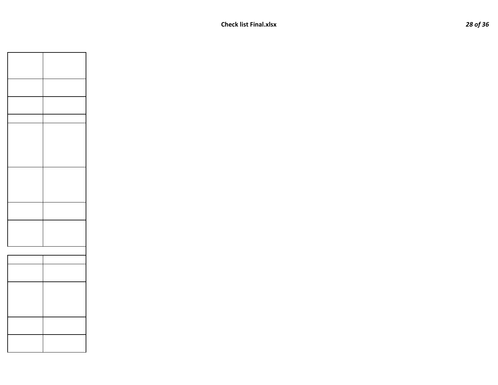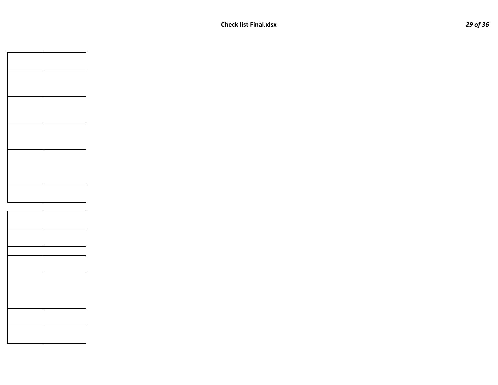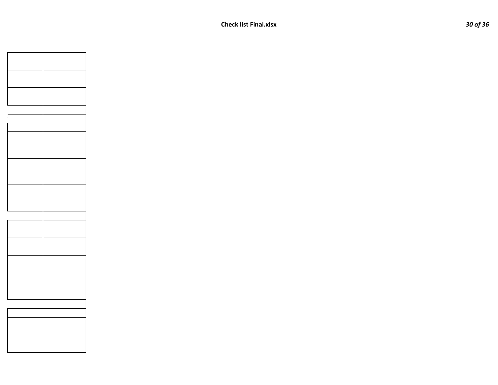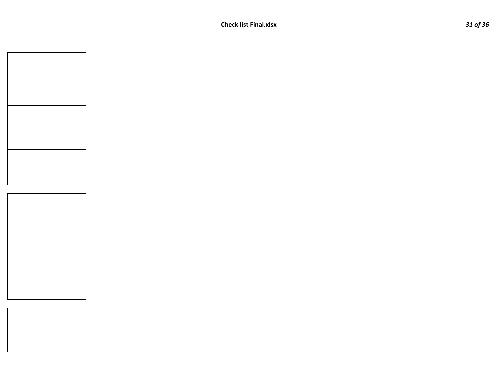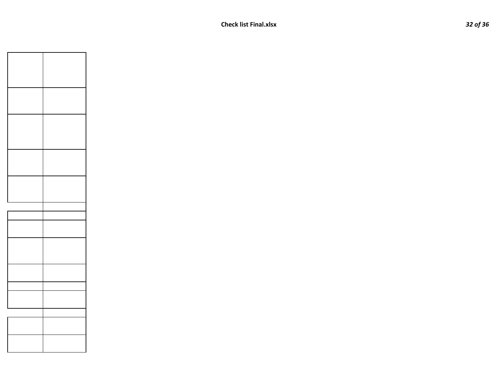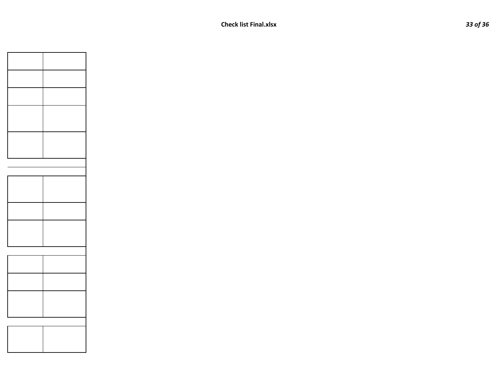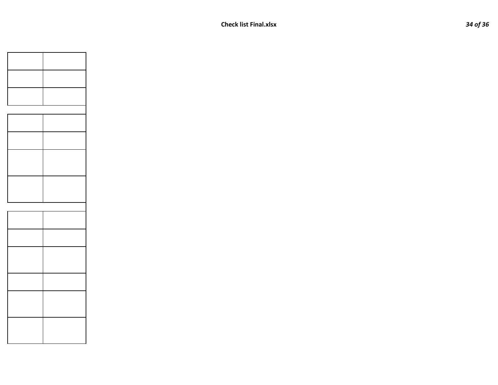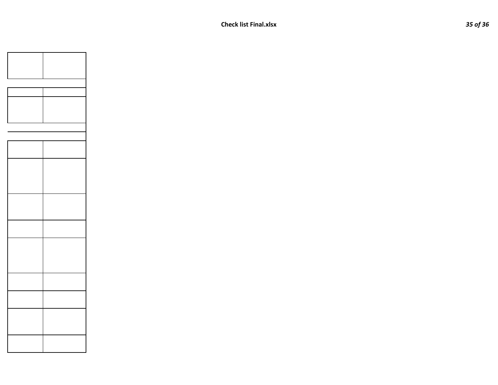